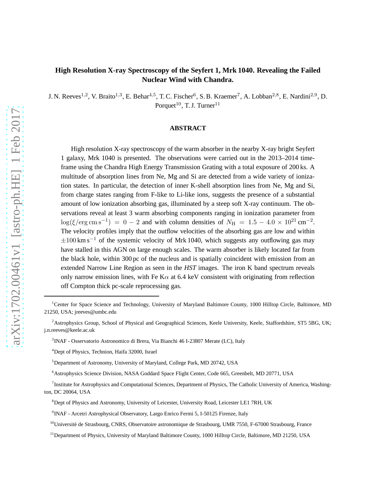# **High Resolution X-ray Spectroscopy of the Seyfert 1, Mrk 1040. Revealing the Failed Nuclear Wind with Chandra.**

J. N. Reeves<sup>1,2</sup>, V. Braito<sup>1,3</sup>, E. Behar<sup>4,5</sup>, T. C. Fischer<sup>6</sup>, S. B. Kraemer<sup>7</sup>, A. Lobban<sup>2,8</sup>, E. Nardini<sup>2,9</sup>, D. Porquet<sup>10</sup>, T. J. Turner<sup>11</sup>

## **ABSTRACT**

High resolution X-ray spectroscopy of the warm absorber in the nearby X-ray bright Seyfert 1 galaxy, Mrk 1040 is presented. The observations were carried out in the 2013–2014 timeframe using the Chandra High Energy Transmission Grating with a total exposure of 200 ks. A multitude of absorption lines from Ne, Mg and Si are detected from a wide variety of ionization states. In particular, the detection of inner K-shell absorption lines from Ne, Mg and Si, from charge states ranging from F-like to Li-like ions, suggests the presence of a substantial amount of low ionization absorbing gas, illuminated by a steep soft X-ray continuum. The observations reveal at least 3 warm absorbing components ranging in ionization parameter from  $\log(\xi/\text{erg}\,\text{cm}\,\text{s}^{-1}) = 0 - 2$  and with column densities of  $N_{\text{H}} = 1.5 - 4.0 \times 10^{21} \text{ cm}^{-2}$ . The velocity profiles imply that the outflow velocities of the absorbing gas are low and within  $\pm 100$  km s<sup>-1</sup> of the systemic velocity of Mrk 1040, which suggests any outflowing gas may have stalled in this AGN on large enough scales. The warm absorber is likely located far from the black hole, within 300 pc of the nucleus and is spatially coincident with emission from an extended Narrow Line Region as seen in the *HST* images. The iron K band spectrum reveals only narrow emission lines, with Fe K $\alpha$  at 6.4 keV consistent with originating from reflection off Compton thick pc-scale reprocessing gas.

<sup>&</sup>lt;sup>1</sup>Center for Space Science and Technology, University of Maryland Baltimore County, 1000 Hilltop Circle, Baltimore, MD 21250, USA; jreeves@umbc.edu

<sup>&</sup>lt;sup>2</sup>Astrophysics Group, School of Physical and Geographical Sciences, Keele University, Keele, Staffordshire, ST5 5BG, UK; j.n.reeves@keele.ac.uk

<sup>3</sup> INAF - Osservatorio Astronomico di Brera, Via Bianchi 46 I-23807 Merate (LC), Italy

<sup>4</sup>Dept of Physics, Technion, Haifa 32000, Israel

<sup>&</sup>lt;sup>5</sup>Department of Astronomy, University of Maryland, College Park, MD 20742, USA

<sup>6</sup>Astrophysics Science Division, NASA Goddard Space Flight Center, Code 665, Greenbelt, MD 20771, USA

<sup>&</sup>lt;sup>7</sup> Institute for Astrophysics and Computational Sciences, Department of Physics, The Catholic University of America, Washington, DC 20064, USA

<sup>&</sup>lt;sup>8</sup>Dept of Physics and Astronomy, University of Leicester, University Road, Leicester LE1 7RH, UK

<sup>&</sup>lt;sup>9</sup> INAF - Arcetri Astrophysical Observatory, Largo Enrico Fermi 5, I-50125 Firenze, Italy

 $10$ Université de Strasbourg, CNRS, Observatoire astronomique de Strasbourg, UMR 7550, F-67000 Strasbourg, France

<sup>&</sup>lt;sup>11</sup>Department of Physics, University of Maryland Baltimore County, 1000 Hilltop Circle, Baltimore, MD 21250, USA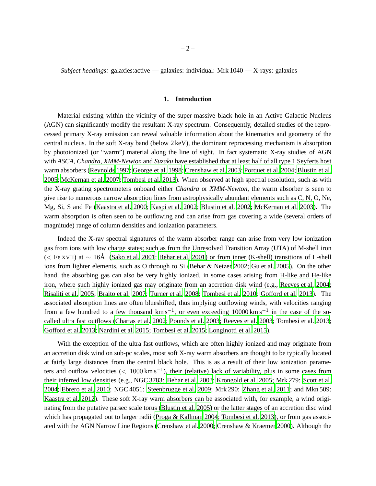*Subject headings:* galaxies:active — galaxies: individual: Mrk 1040 — X-rays: galaxies

#### **1. Introduction**

Material existing within the vicinity of the super-massive black hole in an Active Galactic Nucleus (AGN) can significantly modify the resultant X-ray spectrum. Consequently, detailed studies of the reprocessed primary X-ray emission can reveal valuable information about the kinematics and geometry of the central nucleus. In the soft X-ray band (below 2 keV), the dominant reprocessing mechanism is absorption by photoionized (or "warm") material along the line of sight. In fact systematic X-ray studies of AGN with *ASCA*, *Chandra*, *XMM-Newton* and *Suzaku* have established that at least half of all type 1 Seyferts host warm absorbers [\(Reynolds 1997](#page-22-0); [George et al. 1998](#page-20-0); [Crenshaw](#page-19-0) et al. [2003](#page-19-0); [Porquet et al. 2004](#page-22-1); [Blustin et al.](#page-19-1) [2005;](#page-19-1) [McKernan et al. 2007](#page-21-0); [Tombesi et al. 2013](#page-23-0)). When observed at high spectral resolution, such as with the X-ray grating spectrometers onboard either *Chandra* or *XMM-Newton*, the warm absorber is seen to give rise to numerous narrow absorption lines from astrophysically abundant elements such as C, N, O, Ne, Mg, Si, S and Fe [\(Kaastra et al. 2000](#page-20-1); [Kaspi et al. 2002;](#page-21-1) [Blustin et al. 2002](#page-19-2); [McKernan et al. 2003](#page-21-2)). The warm absorption is often seen to be outflowing and can arise from gas covering a wide (several orders of magnitude) range of column densities and ionization parameters.

Indeed the X-ray spectral signatures of the warm absorber range can arise from very low ionization gas from ions with low charge states; such as from the Unresolved Transition Array (UTA) of M-shell iron (< Fe XVII) at ∼ 16Å [\(Sako et al. 2001](#page-22-2); [Behar et al. 2001](#page-19-3)) or from inner (K-shell) transitions of L-shell ions from lighter elements, such as O through to Si [\(Behar & Netzer 2002;](#page-19-4) [Gu et al. 2005\)](#page-20-2). On the other hand, the absorbing gas can also be very highly ionized, in some cases arising from H-like and He-like iron, where such highly ionized gas may originate from an accretion disk wind (e.g., [Reeves et al. 2004](#page-22-3); [Risaliti et al. 2005](#page-22-4); [Braito et al. 2007](#page-19-5); [Turner et al. 2008](#page-23-1); [Tombesi et al. 2010](#page-23-2); [Gofford et al. 2013](#page-20-3)). The associated absorption lines are often blueshifted, thus implying outflowing winds, with velocities ranging from a few hundred to a few thousand  $km s^{-1}$ , or even exceeding 10000 km s<sup>-1</sup> in the case of the socalled ultra fast outflows [\(Chartas et al. 2002](#page-19-6); [Pounds et al.](#page-22-5) [2003;](#page-22-5) [Reeves et al. 2003](#page-22-6); [Tombesi et al. 2013](#page-23-0); [Gofford et al. 2013](#page-20-3); [Nardini et al. 2015;](#page-21-3) [Tombesi et al. 2015](#page-23-3); [Longinotti et al. 2015\)](#page-21-4).

With the exception of the ultra fast outflows, which are often highly ionized and may originate from an accretion disk wind on sub-pc scales, most soft X-ray warm absorbers are thought to be typically located at fairly large distances from the central black hole. This is as a result of their low ionization parameters and outflow velocities ( $< 1000 \,\mathrm{km \,s}^{-1}$ ), their (relative) lack of variability, plus in some cases from their inferred low densities (e.g., NGC 3783: [Behar et al. 2003;](#page-19-7) [Krongold et al. 2005](#page-21-5); Mrk 279: [Scott et al.](#page-22-7) [2004;](#page-22-7) [Ebrero et al. 2010](#page-20-4); NGC 4051: [Steenbrugge et al. 2009;](#page-22-8) Mrk 290: [Zhang et al. 2011](#page-23-4); and Mkn 509: [Kaastra et al. 2012](#page-20-5)). These soft X-ray warm absorbers can be associated with, for example, a wind originating from the putative parsec scale torus [\(Blustin et al. 2005](#page-19-1)) or the latter stages of an accretion disc wind which has propagated out to larger radii [\(Proga & Kallman 2004;](#page-22-9) [Tombesi et al. 2013\)](#page-23-0), or from gas associated with the AGN Narrow Line Regions [\(Crenshaw et al. 2000;](#page-19-8) [Crenshaw & Kraemer 2000](#page-19-9)). Although the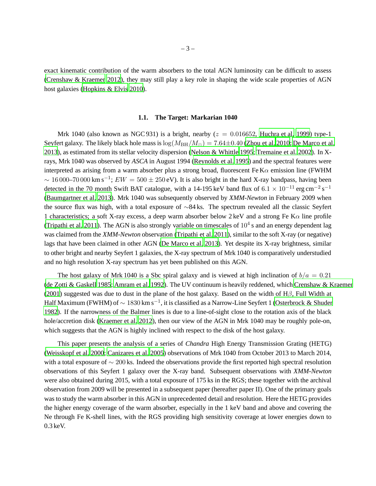exact kinematic contribution of the warm absorbers to the total AGN luminosity can be difficult to assess [\(Crenshaw & Kraemer 2012](#page-19-10)), they may still play a key role in shaping the wide scale properties of AGN host galaxies [\(Hopkins & Elvis 2010\)](#page-20-6).

## **1.1. The Target: Markarian 1040**

Mrk 1040 (also known as NGC 931) is a bright, nearby  $(z = 0.016652,$  [Huchra et al. 1999](#page-20-7)) type-1 Seyfert galaxy. The likely black hole mass is  $\log(M_{\rm BH}/M_{\odot}) = 7.64 \pm 0.40$  [\(Zhou et al. 2010](#page-23-5); [De Marco et al.](#page-19-11) [2013\)](#page-19-11), as estimated from its stellar velocity dispersion [\(Nelson & Whittle 1995;](#page-21-6) [Tremaine et al. 2002](#page-23-6)). In Xrays, Mrk 1040 was observed by *ASCA* in August 1994 [\(Reynolds et al. 1995](#page-22-10)) and the spectral features were interpreted as arising from a warm absorber plus a strong broad, fluorescent Fe K $\alpha$  emission line (FWHM  $\sim 16000-70000$  km s<sup>-1</sup>;  $EW = 500 \pm 250$  eV). It is also bright in the hard X-ray bandpass, having been detected in the 70 month Swift BAT catalogue, with a 14-195 keV band flux of  $6.1 \times 10^{-11}$  erg cm<sup>-2</sup> s<sup>-1</sup> [\(Baumgartner et al. 2013](#page-19-12)). Mrk 1040 was subsequently observed by *XMM-Newton* in February 2009 when the source flux was high, with a total exposure of ∼84 ks. The spectrum revealed all the classic Seyfert 1 characteristics; a soft X-ray excess, a deep warm absorber below  $2 \text{ keV}$  and a strong Fe K $\alpha$  line profile [\(Tripathi et al. 2011](#page-23-7)). The AGN is also strongly variable on timescales of  $10^4$  s and an energy dependent lag was claimed from the *XMM-Newton* observation [\(Tripathi et al. 2011](#page-23-7)), similar to the soft X-ray (or negative) lags that have been claimed in other AGN [\(De Marco et al. 2013](#page-19-11)). Yet despite its X-ray brightness, similar to other bright and nearby Seyfert 1 galaxies, the X-ray spectrum of Mrk 1040 is comparatively understudied and no high resolution X-ray spectrum has yet been published on this AGN.

The host galaxy of Mrk 1040 is a Sbc spiral galaxy and is viewed at high inclination of  $b/a = 0.21$ [\(de Zotti & Gaskell 1985;](#page-19-13) [Amram et al. 1992](#page-19-14)). The UV continuum is heavily reddened, which [Crenshaw & Kraemer](#page-19-15) [\(2001](#page-19-15)) suggested was due to dust in the plane of the host galaxy. Based on the width of  $H\beta$ , Full Width at Half Maximum (FWHM) of  $\sim1830$  km s $^{-1}$ , it is classified as a Narrow-Line Seyfert 1 [\(Osterbrock & Shuder](#page-21-7) [1982\)](#page-21-7). If the narrowness of the Balmer lines is due to a line-of-sight close to the rotation axis of the black hole/accretion disk [\(Kraemer et al. 2012](#page-21-8)), then our view of the AGN in Mrk 1040 may be roughly pole-on, which suggests that the AGN is highly inclined with respect to the disk of the host galaxy.

This paper presents the analysis of a series of *Chandra* High Energy Transmission Grating (HETG) [\(Weisskopf et al. 2000](#page-23-8); [Canizares et al. 2005\)](#page-19-16) observations of Mrk 1040 from October 2013 to March 2014, with a total exposure of ∼ 200 ks. Indeed the observations provide the first reported high spectral resolution observations of this Seyfert 1 galaxy over the X-ray band. Subsequent observations with *XMM-Newton* were also obtained during 2015, with a total exposure of 175 ks in the RGS; these together with the archival observation from 2009 will be presented in a subsequent paper (hereafter paper II). One of the primary goals was to study the warm absorber in this AGN in unprecedented detail and resolution. Here the HETG provides the higher energy coverage of the warm absorber, especially in the 1 keV band and above and covering the Ne through Fe K-shell lines, with the RGS providing high sensitivity coverage at lower energies down to 0.3 keV.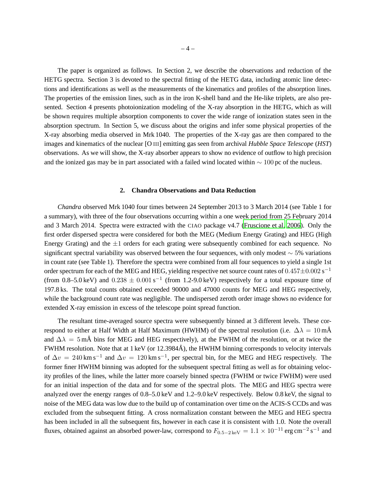The paper is organized as follows. In Section 2, we describe the observations and reduction of the HETG spectra. Section 3 is devoted to the spectral fitting of the HETG data, including atomic line detections and identifications as well as the measurements of the kinematics and profiles of the absorption lines. The properties of the emission lines, such as in the iron K-shell band and the He-like triplets, are also presented. Section 4 presents photoionization modeling of the X-ray absorption in the HETG, which as will be shown requires multiple absorption components to cover the wide range of ionization states seen in the absorption spectrum. In Section 5, we discuss about the origins and infer some physical properties of the X-ray absorbing media observed in Mrk 1040. The properties of the X-ray gas are then compared to the images and kinematics of the nuclear [O III] emitting gas seen from archival *Hubble Space Telescope* (*HST*) observations. As we will show, the X-ray absorber appears to show no evidence of outflow to high precision and the ionized gas may be in part associated with a failed wind located within ∼ 100 pc of the nucleus.

## **2. Chandra Observations and Data Reduction**

*Chandra* observed Mrk 1040 four times between 24 September 2013 to 3 March 2014 (see Table 1 for a summary), with three of the four observations occurring within a one week period from 25 February 2014 and 3 March 2014. Spectra were extracted with the CIAO package v4.7 [\(Fruscione et al. 2006](#page-20-8)). Only the first order dispersed spectra were considered for both the MEG (Medium Energy Grating) and HEG (High Energy Grating) and the  $\pm 1$  orders for each grating were subsequently combined for each sequence. No significant spectral variability was observed between the four sequences, with only modest ∼ 5% variations in count rate (see Table 1). Therefore the spectra were combined from all four sequences to yield a single 1st order spectrum for each of the MEG and HEG, yielding respective net source count rates of  $0.457 \pm 0.002$  s $^{-1}$ (from 0.8–5.0 keV) and  $0.238 \pm 0.001 \text{ s}^{-1}$  (from 1.2-9.0 keV) respectively for a total exposure time of 197.8 ks. The total counts obtained exceeded 90000 and 47000 counts for MEG and HEG respectively, while the background count rate was negligible. The undispersed zeroth order image shows no evidence for extended X-ray emission in excess of the telescope point spread function.

The resultant time-averaged source spectra were subsequently binned at 3 different levels. These correspond to either at Half Width at Half Maximum (HWHM) of the spectral resolution (i.e.  $\Delta \lambda = 10 \text{ mA}$ and  $\Delta\lambda = 5$  mÅ bins for MEG and HEG respectively), at the FWHM of the resolution, or at twice the FWHM resolution. Note that at 1 keV (or  $12.3984\text{\AA}$ ), the HWHM binning corresponds to velocity intervals of  $\Delta v = 240 \text{ km s}^{-1}$  and  $\Delta v = 120 \text{ km s}^{-1}$ , per spectral bin, for the MEG and HEG respectively. The former finer HWHM binning was adopted for the subsequent spectral fitting as well as for obtaining velocity profiles of the lines, while the latter more coarsely binned spectra (FWHM or twice FWHM) were used for an initial inspection of the data and for some of the spectral plots. The MEG and HEG spectra were analyzed over the energy ranges of 0.8–5.0 keV and 1.2–9.0 keV respectively. Below 0.8 keV, the signal to noise of the MEG data was low due to the build up of contamination over time on the ACIS-S CCDs and was excluded from the subsequent fitting. A cross normalization constant between the MEG and HEG spectra has been included in all the subsequent fits, however in each case it is consistent with 1.0. Note the overall fluxes, obtained against an absorbed power-law, correspond to  $F_{0.5-2\,\text{keV}} = 1.1 \times 10^{-11} \text{ erg cm}^{-2} \text{ s}^{-1}$  and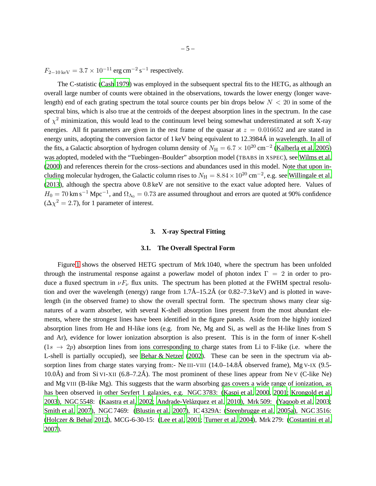$F_{2-10 \text{ keV}} = 3.7 \times 10^{-11} \text{ erg cm}^{-2} \text{ s}^{-1}$  respectively.

The C-statistic [\(Cash 1979\)](#page-19-17) was employed in the subsequent spectral fits to the HETG, as although an overall large number of counts were obtained in the observations, towards the lower energy (longer wavelength) end of each grating spectrum the total source counts per bin drops below  $N < 20$  in some of the spectral bins, which is also true at the centroids of the deepest absorption lines in the spectrum. In the case of  $\chi^2$  minimization, this would lead to the continuum level being somewhat underestimated at soft X-ray energies. All fit parameters are given in the rest frame of the quasar at  $z = 0.016652$  and are stated in energy units, adopting the conversion factor of 1 keV being equivalent to 12.3984Å in wavelength. In all of the fits, a Galactic absorption of hydrogen column density of  $N_H = 6.7 \times 10^{20}$  cm<sup>-2</sup> [\(Kalberla et al. 2005](#page-20-9)) was adopted, modeled with the "Tuebingen–Boulder" absorption model (TBABS in XSPEC), see [Wilms et al.](#page-23-9) [\(2000](#page-23-9)) and references therein for the cross–sections and abundances used in this model. Note that upon including molecular hydrogen, the Galactic column rises to  $N_{\rm H} = 8.84 \times 10^{20}$  cm<sup>-2</sup>, e.g. see [Willingale et al.](#page-23-10) [\(2013](#page-23-10)), although the spectra above 0.8 keV are not sensitive to the exact value adopted here. Values of  $H_0 = 70$  km s<sup>-1</sup> Mpc<sup>-1</sup>, and  $\Omega_{\Lambda_0} = 0.73$  are assumed throughout and errors are quoted at 90% confidence  $(\Delta \chi^2 = 2.7)$ , for 1 parameter of interest.

#### **3. X-ray Spectral Fitting**

#### **3.1. The Overall Spectral Form**

Figure [1](#page-24-0) shows the observed HETG spectrum of Mrk 1040, where the spectrum has been unfolded through the instrumental response against a powerlaw model of photon index  $\Gamma = 2$  in order to produce a fluxed spectrum in  $\nu F_{\nu}$  flux units. The spectrum has been plotted at the FWHM spectral resolution and over the wavelength (energy) range from  $1.7\text{\AA}-15.2\text{\AA}$  (or 0.82–7.3 keV) and is plotted in wavelength (in the observed frame) to show the overall spectral form. The spectrum shows many clear signatures of a warm absorber, with several K-shell absorption lines present from the most abundant elements, where the strongest lines have been identified in the figure panels. Aside from the highly ionized absorption lines from He and H-like ions (e.g. from Ne, Mg and Si, as well as the H-like lines from S and Ar), evidence for lower ionization absorption is also present. This is in the form of inner K-shell  $(1s \rightarrow 2p)$  absorption lines from ions corresponding to charge states from Li to F-like (i.e. where the L-shell is partially occupied), see [Behar & Netzer](#page-19-4) [\(2002](#page-19-4)). These can be seen in the spectrum via absorption lines from charge states varying from:- Ne III-VIII  $(14.0-14.8\text{\AA})$  observed frame), Mg V-IX (9.5-10.0Å) and from Si VI-XII (6.8–7.2Å). The most prominent of these lines appear from Ne  $\vee$  (C-like Ne) and Mg VIII (B-like Mg). This suggests that the warm absorbing gas covers a wide range of ionization, as has been observed in other Seyfert 1 galaxies, e.g. NGC 3783: [\(Kaspi et al. 2000](#page-21-9), [2001](#page-21-10); [Krongold et al.](#page-21-11) [2003\)](#page-21-11), NGC 5548: [\(Kaastra et al. 2002](#page-20-10); Andrade-Velázquez et al. 2010), Mrk 509: [\(Yaqoob et al. 2003](#page-23-11); [Smith et al. 2007](#page-22-11)), NGC 7469: [\(Blustin et al. 2007](#page-19-19)), IC 4329A: [\(Steenbrugge et al. 2005a](#page-22-12)), NGC 3516: [\(Holczer & Behar 2012](#page-20-11)), MCG-6-30-15: [\(Lee et al. 2001;](#page-21-12) [Turner et al. 2004\)](#page-23-12), Mrk 279: [\(Costantini et al.](#page-19-20) [2007\)](#page-19-20).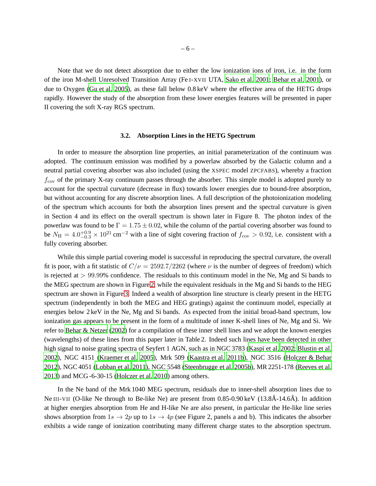Note that we do not detect absorption due to either the low ionization ions of iron, i.e. in the form of the iron M-shell Unresolved Transition Array (Fe I-XVII UTA, [Sako et al. 2001](#page-22-2); [Behar et al. 2001](#page-19-3)), or due to Oxygen [\(Gu et al. 2005](#page-20-2)), as these fall below 0.8 keV where the effective area of the HETG drops rapidly. However the study of the absorption from these lower energies features will be presented in paper II covering the soft X-ray RGS spectrum.

## **3.2. Absorption Lines in the HETG Spectrum**

In order to measure the absorption line properties, an initial parameterization of the continuum was adopted. The continuum emission was modified by a powerlaw absorbed by the Galactic column and a neutral partial covering absorber was also included (using the XSPEC model ZPCFABS), whereby a fraction  $f_{\rm cov}$  of the primary X-ray continuum passes through the absorber. This simple model is adopted purely to account for the spectral curvature (decrease in flux) towards lower energies due to bound-free absorption, but without accounting for any discrete absorption lines. A full description of the photoionization modeling of the spectrum which accounts for both the absorption lines present and the spectral curvature is given in Section 4 and its effect on the overall spectrum is shown later in Figure 8. The photon index of the powerlaw was found to be  $\Gamma = 1.75 \pm 0.02$ , while the column of the partial covering absorber was found to be  $N_{\rm H} = 4.0_{-0.3}^{+0.9} \times 10^{21}$  cm<sup>-2</sup> with a line of sight covering fraction of  $f_{\rm cov} > 0.92$ , i.e. consistent with a fully covering absorber.

While this simple partial covering model is successful in reproducing the spectral curvature, the overall fit is poor, with a fit statistic of  $C/\nu = 2592.7/2262$  (where  $\nu$  is the number of degrees of freedom) which is rejected at > 99.99% confidence. The residuals to this continuum model in the Ne, Mg and Si bands to the MEG spectrum are shown in Figure [2,](#page-25-0) while the equivalent residuals in the Mg and Si bands to the HEG spectrum are shown in Figure [3.](#page-26-0) Indeed a wealth of absorption line structure is clearly present in the HETG spectrum (independently in both the MEG and HEG gratings) against the continuum model, especially at energies below 2 keV in the Ne, Mg and Si bands. As expected from the initial broad-band spectrum, low ionization gas appears to be present in the form of a multitude of inner K-shell lines of Ne, Mg and Si. We refer to [Behar & Netzer](#page-19-4) [\(2002](#page-19-4)) for a compilation of these inner shell lines and we adopt the known energies (wavelengths) of these lines from this paper later in Table 2. Indeed such lines have been detected in other high signal to noise grating spectra of Seyfert 1 AGN, such as in NGC 3783 [\(Kaspi et al. 2002](#page-21-1); [Blustin et al.](#page-19-2) [2002\)](#page-19-2), NGC 4151 [\(Kraemer et al. 2005](#page-21-13)), Mrk 509 [\(Kaastra et al.](#page-20-12) [2011b](#page-20-12)), NGC 3516 [\(Holczer & Behar](#page-20-11) [2012\)](#page-20-11), NGC 4051 [\(Lobban et al. 2011](#page-21-14)), NGC 5548 [\(Steenbrugge et al. 2005b\)](#page-22-13), MR 2251-178 [\(Reeves et al.](#page-22-14) [2013\)](#page-22-14) and MCG -6-30-15 [\(Holczer et al. 2010\)](#page-20-13) among others.

In the Ne band of the Mrk 1040 MEG spectrum, residuals due to inner-shell absorption lines due to Ne III-VII (O-like Ne through to Be-like Ne) are present from  $0.85$ -0.90 keV (13.8Å-14.6Å). In addition at higher energies absorption from He and H-like Ne are also present, in particular the He-like line series shows absorption from  $1s \to 2p$  up to  $1s \to 4p$  (see Figure 2, panels a and b). This indicates the absorber exhibits a wide range of ionization contributing many different charge states to the absorption spectrum.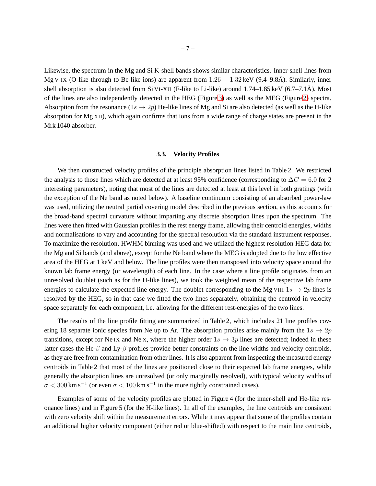Likewise, the spectrum in the Mg and Si K-shell bands shows similar characteristics. Inner-shell lines from Mg V-IX (O-like through to Be-like ions) are apparent from  $1.26 - 1.32$  keV (9.4–9.8Å). Similarly, inner shell absorption is also detected from Si VI-XII (F-like to Li-like) around  $1.74-1.85$  keV (6.7–7.1Å). Most of the lines are also independently detected in the HEG (Figure [3\)](#page-26-0) as well as the MEG (Figure [2\)](#page-25-0) spectra. Absorption from the resonance  $(1s \rightarrow 2p)$  He-like lines of Mg and Si are also detected (as well as the H-like absorption for Mg XII), which again confirms that ions from a wide range of charge states are present in the Mrk 1040 absorber.

#### **3.3. Velocity Profiles**

We then constructed velocity profiles of the principle absorption lines listed in Table 2. We restricted the analysis to those lines which are detected at at least 95% confidence (corresponding to  $\Delta C = 6.0$  for 2 interesting parameters), noting that most of the lines are detected at least at this level in both gratings (with the exception of the Ne band as noted below). A baseline continuum consisting of an absorbed power-law was used, utilizing the neutral partial covering model described in the previous section, as this accounts for the broad-band spectral curvature without imparting any discrete absorption lines upon the spectrum. The lines were then fitted with Gaussian profiles in the rest energy frame, allowing their centroid energies, widths and normalisations to vary and accounting for the spectral resolution via the standard instrument responses. To maximize the resolution, HWHM binning was used and we utilized the highest resolution HEG data for the Mg and Si bands (and above), except for the Ne band where the MEG is adopted due to the low effective area of the HEG at 1 keV and below. The line profiles were then transposed into velocity space around the known lab frame energy (or wavelength) of each line. In the case where a line profile originates from an unresolved doublet (such as for the H-like lines), we took the weighted mean of the respective lab frame energies to calculate the expected line energy. The doublet corresponding to the Mg VIII  $1s \rightarrow 2p$  lines is resolved by the HEG, so in that case we fitted the two lines separately, obtaining the centroid in velocity space separately for each component, i.e. allowing for the different rest-energies of the two lines.

The results of the line profile fitting are summarized in Table 2, which includes 21 line profiles covering 18 separate ionic species from Ne up to Ar. The absorption profiles arise mainly from the  $1s \rightarrow 2p$ transitions, except for Ne IX and Ne X, where the higher order  $1s \rightarrow 3p$  lines are detected; indeed in these latter cases the He- $\beta$  and Ly- $\beta$  profiles provide better constraints on the line widths and velocity centroids, as they are free from contamination from other lines. It is also apparent from inspecting the measured energy centroids in Table 2 that most of the lines are positioned close to their expected lab frame energies, while generally the absorption lines are unresolved (or only marginally resolved), with typical velocity widths of  $\sigma$  < 300 km s<sup>-1</sup> (or even  $\sigma$  < 100 km s<sup>-1</sup> in the more tightly constrained cases).

Examples of some of the velocity profiles are plotted in Figure 4 (for the inner-shell and He-like resonance lines) and in Figure 5 (for the H-like lines). In all of the examples, the line centroids are consistent with zero velocity shift within the measurement errors. While it may appear that some of the profiles contain an additional higher velocity component (either red or blue-shifted) with respect to the main line centroids,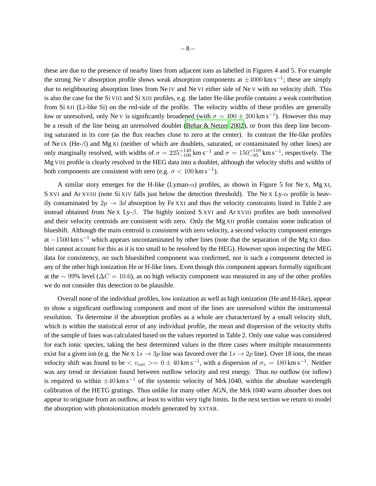these are due to the presence of nearby lines from adjacent ions as labelled in Figures 4 and 5. For example the strong Ne V absorption profile shows weak absorption components at  $\pm 4000$  km s<sup>-1</sup>; these are simply due to neighbouring absorption lines from Ne IV and Ne VI either side of Ne V with no velocity shift. This is also the case for the Si VIII and Si XIII profiles, e.g. the latter He-like profile contains a weak contribution from Si XII (Li-like Si) on the red-side of the profile. The velocity widths of these profiles are generally low or unresolved, only Ne V is significantly broadened (with  $\sigma = 490 \pm 200$  km s<sup>-1</sup>). However this may be a result of the line being an unresolved doublet [\(Behar & Netzer 2002](#page-19-4)), or from this deep line becoming saturated in its core (as the flux reaches close to zero at the center). In contrast the He-like profiles of Ne IX (He- $\beta$ ) and Mg XI (neither of which are doublets, saturated, or contaminated by other lines) are only marginally resolved, with widths of  $\sigma = 225^{+140}_{-100}$  km s<sup>-1</sup> and  $\sigma = 150^{+110}_{-95}$  km s<sup>-1</sup>, respectively. The Mg VIII profile is clearly resolved in the HEG data into a doublet, although the velocity shifts and widths of both components are consistent with zero (e.g.  $\sigma < 100 \text{ km s}^{-1}$ ).

A similar story emerges for the H-like (Lyman- $\alpha$ ) profiles, as shown in Figure 5 for Ne x, Mg xI, S XVI and Ar XVIII (note Si XIV falls just below the detection threshold). The Ne X Ly- $\alpha$  profile is heavily contaminated by  $2p \rightarrow 3d$  absorption by Fe XXI and thus the velocity constraints listed in Table 2 are instead obtained from Ne X Ly- $\beta$ . The highly ionized S XVI and Ar XVIII profiles are both unresolved and their velocity centroids are consistent with zero. Only the Mg XII profile contains some indication of blueshift. Although the main centroid is consistent with zero velocity, a second velocity component emerges at  $-1500 \text{ km s}^{-1}$  which appears uncontaminated by other lines (note that the separation of the Mg XII doublet cannot account for this as it is too small to be resolved by the HEG). However upon inspecting the MEG data for consistency, no such blueshifted component was confirmed, nor is such a component detected in any of the other high ionization He or H-like lines. Even though this component appears formally significant at the ∼ 99% level ( $\Delta C = 10.6$ ), as no high velocity component was measured in any of the other profiles we do not consider this detection to be plausible.

Overall none of the individual profiles, low ionization as well as high ionization (He and H-like), appear to show a significant outflowing component and most of the lines are unresolved within the instrumental resolution. To determine if the absorption profiles as a whole are characterized by a small velocity shift, which is within the statistical error of any individual profile, the mean and dispersion of the velocity shifts of the sample of lines was calculated based on the values reported in Table 2. Only one value was considered for each ionic species, taking the best determined values in the three cases where multiple measurements exist for a given ion (e.g. the Ne x 1s  $\rightarrow$  3p line was favored over the 1s  $\rightarrow$  2p line). Over 18 ions, the mean velocity shift was found to be  $\langle v_{\text{out}} \rangle = 0 \pm 40 \text{ km s}^{-1}$ , with a dispersion of  $\sigma_v = 180 \text{ km s}^{-1}$ . Neither was any trend or deviation found between outflow velocity and rest energy. Thus no outflow (or inflow) is required to within  $\pm 40 \text{ km s}^{-1}$  of the systemic velocity of Mrk 1040, within the absolute wavelength calibration of the HETG gratings. Thus unlike for many other AGN, the Mrk 1040 warm absorber does not appear to originate from an outflow, at least to within very tight limits. In the next section we return to model the absorption with photoionization models generated by XSTAR.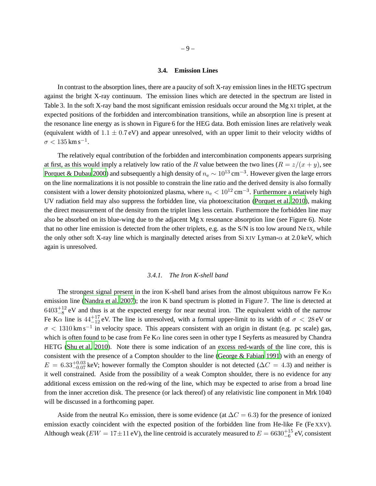## **3.4. Emission Lines**

In contrast to the absorption lines, there are a paucity of soft X-ray emission lines in the HETG spectrum against the bright X-ray continuum. The emission lines which are detected in the spectrum are listed in Table 3. In the soft X-ray band the most significant emission residuals occur around the Mg XI triplet, at the expected positions of the forbidden and intercombination transitions, while an absorption line is present at the resonance line energy as is shown in Figure 6 for the HEG data. Both emission lines are relatively weak (equivalent width of  $1.1 \pm 0.7$  eV) and appear unresolved, with an upper limit to their velocity widths of  $\sigma < 135$  km s<sup>-1</sup>.

The relatively equal contribution of the forbidden and intercombination components appears surprising at first, as this would imply a relatively low ratio of the R value between the two lines  $(R = z/(x + y))$ , see [Porquet & Dubau 2000](#page-22-15)) and subsequently a high density of  $n_e \sim 10^{13}$  cm<sup>-3</sup>. However given the large errors on the line normalizations it is not possible to constrain the line ratio and the derived density is also formally consistent with a lower density photoionized plasma, where  $n_e < 10^{12}$  cm<sup>-3</sup>. Furthermore a relatively high UV radiation field may also suppress the forbidden line, via photoexcitation [\(Porquet et al. 2010](#page-22-16)), making the direct measurement of the density from the triplet lines less certain. Furthermore the forbidden line may also be absorbed on its blue-wing due to the adjacent Mg X resonance absorption line (see Figure 6). Note that no other line emission is detected from the other triplets, e.g. as the S/N is too low around Ne IX, while the only other soft X-ray line which is marginally detected arises from Si XIV Lyman- $\alpha$  at 2.0 keV, which again is unresolved.

## *3.4.1. The Iron K-shell band*

The strongest signal present in the iron K-shell band arises from the almost ubiquitous narrow Fe K $\alpha$ emission line [\(Nandra et al. 2007](#page-21-15)); the iron K band spectrum is plotted in Figure 7. The line is detected at  $6403^{+12}_{-8}$  eV and thus is at the expected energy for near neutral iron. The equivalent width of the narrow Fe K $\alpha$  line is  $44^{+17}_{-12}$  eV. The line is unresolved, with a formal upper-limit to its width of  $\sigma < 28$  eV or  $\sigma$  < 1310 km s<sup>-1</sup> in velocity space. This appears consistent with an origin in distant (e.g. pc scale) gas, which is often found to be case from Fe K $\alpha$  line cores seen in other type I Seyferts as measured by Chandra HETG [\(Shu et al. 2010\)](#page-22-17). Note there is some indication of an excess red-wards of the line core, this is consistent with the presence of a Compton shoulder to the line [\(George & Fabian 1991](#page-20-14)) with an energy of  $E = 6.33_{-0.07}^{+0.03}$  keV; however formally the Compton shoulder is not detected ( $\Delta C = 4.3$ ) and neither is it well constrained. Aside from the possibility of a weak Compton shoulder, there is no evidence for any additional excess emission on the red-wing of the line, which may be expected to arise from a broad line from the inner accretion disk. The presence (or lack thereof) of any relativistic line component in Mrk 1040 will be discussed in a forthcoming paper.

Aside from the neutral K $\alpha$  emission, there is some evidence (at  $\Delta C = 6.3$ ) for the presence of ionized emission exactly coincident with the expected position of the forbidden line from He-like Fe (Fe XXV). Although weak ( $EW = 17 \pm 11$  eV), the line centroid is accurately measured to  $E = 6630^{+15}_{-6}$  eV, consistent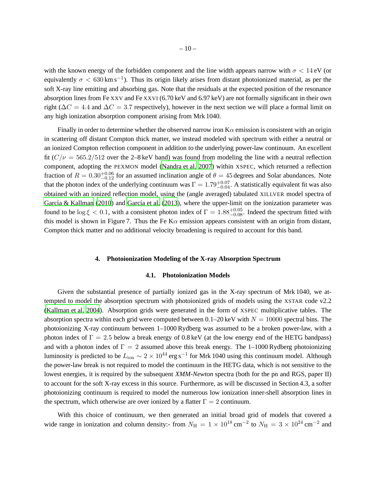with the known energy of the forbidden component and the line width appears narrow with  $\sigma < 14 \text{ eV}$  (or equivalently  $\sigma < 630 \,\mathrm{km \, s^{-1}}$ ). Thus its origin likely arises from distant photoionized material, as per the soft X-ray line emitting and absorbing gas. Note that the residuals at the expected position of the resonance absorption lines from Fe XXV and Fe XXVI (6.70 keV and 6.97 keV) are not formally significant in their own right ( $\Delta C = 4.4$  and  $\Delta C = 3.7$  respectively), however in the next section we will place a formal limit on any high ionization absorption component arising from Mrk 1040.

Finally in order to determine whether the observed narrow iron  $K\alpha$  emission is consistent with an origin in scattering off distant Compton thick matter, we instead modeled with spectrum with either a neutral or an ionized Compton reflection component in addition to the underlying power-law continuum. An excellent fit  $(C/\nu = 565.2/512$  over the 2–8 keV band) was found from modeling the line with a neutral reflection component, adopting the PEXMON model [\(Nandra et al. 2007](#page-21-15)) within XSPEC, which returned a reflection fraction of  $R = 0.30_{-0.12}^{+0.06}$  for an assumed inclination angle of  $\theta = 45$  degrees and Solar abundances. Note that the photon index of the underlying continuum was  $\Gamma = 1.79_{-0.04}^{+0.07}$ . A statistically equivalent fit was also obtained with an ionized reflection model, using the (angle averaged) tabulated XILLVER model spectra of García & Kallman [\(2010](#page-20-15)) and García et al. (2013), where the upper-limit on the ionization parameter was found to be  $\log \xi < 0.1$ , with a consistent photon index of  $\Gamma = 1.88^{+0.05}_{-0.08}$ . Indeed the spectrum fitted with this model is shown in Figure 7. Thus the Fe K $\alpha$  emission appears consistent with an origin from distant, Compton thick matter and no additional velocity broadening is required to account for this band.

#### **4. Photoionization Modeling of the X-ray Absorption Spectrum**

## **4.1. Photoionization Models**

Given the substantial presence of partially ionized gas in the X-ray spectrum of Mrk 1040, we attempted to model the absorption spectrum with photoionized grids of models using the XSTAR code v2.2 [\(Kallman et al. 2004](#page-21-16)). Absorption grids were generated in the form of XSPEC multiplicative tables. The absorption spectra within each grid were computed between  $0.1{\text -}20 \,\text{keV}$  with  $N = 10000$  spectral bins. The photoionizing X-ray continuum between 1–1000 Rydberg was assumed to be a broken power-law, with a photon index of  $\Gamma = 2.5$  below a break energy of 0.8 keV (at the low energy end of the HETG bandpass) and with a photon index of  $\Gamma = 2$  assumed above this break energy. The 1–1000 Rydberg photoionizing luminosity is predicted to be  $L_{\text{ion}} \sim 2 \times 10^{44}$  erg s<sup>-1</sup> for Mrk 1040 using this continuum model. Although the power-law break is not required to model the continuum in the HETG data, which is not sensitive to the lowest energies, it is required by the subsequent *XMM-Newton* spectra (both for the pn and RGS, paper II) to account for the soft X-ray excess in this source. Furthermore, as will be discussed in Section 4.3, a softer photoionizing continuum is required to model the numerous low ionization inner-shell absorption lines in the spectrum, which otherwise are over ionized by a flatter  $\Gamma = 2$  continuum.

With this choice of continuum, we then generated an initial broad grid of models that covered a wide range in ionization and column density:- from  $N_{\rm H} = 1 \times 10^{18} \text{ cm}^{-2}$  to  $N_{\rm H} = 3 \times 10^{24} \text{ cm}^{-2}$  and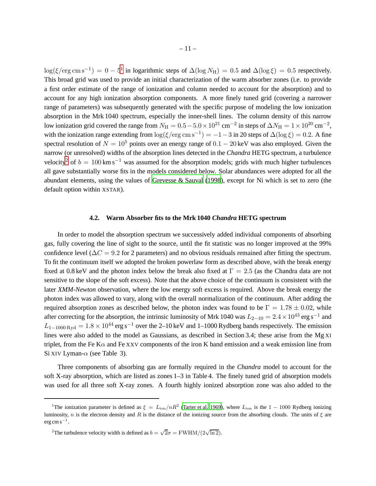$\log(\xi/\text{erg cm s}^{-1}) = 0 - 5^1$  $\log(\xi/\text{erg cm s}^{-1}) = 0 - 5^1$  $\log(\xi/\text{erg cm s}^{-1}) = 0 - 5^1$  in logarithmic steps of  $\Delta(\log N_H) = 0.5$  and  $\Delta(\log \xi) = 0.5$  respectively. This broad grid was used to provide an initial characterization of the warm absorber zones (i.e. to provide a first order estimate of the range of ionization and column needed to account for the absorption) and to account for any high ionization absorption components. A more finely tuned grid (covering a narrower range of parameters) was subsequently generated with the specific purpose of modeling the low ionization absorption in the Mrk 1040 spectrum, especially the inner-shell lines. The column density of this narrow low ionization grid covered the range from  $N_H = 0.5 - 5.0 \times 10^{21}$  cm<sup>-2</sup> in steps of  $\Delta N_H = 1 \times 10^{20}$  cm<sup>-2</sup>, with the ionization range extending from  $\log(\xi/\text{erg cm s}^{-1}) = -1 - 3$  in 20 steps of  $\Delta(\log \xi) = 0.2$ . A fine spectral resolution of  $N = 10^5$  points over an energy range of  $0.1 - 20 \,\text{keV}$  was also employed. Given the narrow (or unresolved) widths of the absorption lines detected in the *Chandra* HETG spectrum, a turbulence velocity<sup>[2](#page-10-1)</sup> of  $b = 100 \text{ km s}^{-1}$  was assumed for the absorption models; grids with much higher turbulences all gave substantially worse fits in the models considered below. Solar abundances were adopted for all the abundant elements, using the values of [Grevesse & Sauval \(1998\)](#page-20-17), except for Ni which is set to zero (the default option within XSTAR).

#### **4.2. Warm Absorber fits to the Mrk 1040** *Chandra* **HETG spectrum**

In order to model the absorption spectrum we successively added individual components of absorbing gas, fully covering the line of sight to the source, until the fit statistic was no longer improved at the 99% confidence level ( $\Delta C = 9.2$  for 2 parameters) and no obvious residuals remained after fitting the spectrum. To fit the continuum itself we adopted the broken powerlaw form as described above, with the break energy fixed at 0.8 keV and the photon index below the break also fixed at  $\Gamma = 2.5$  (as the Chandra data are not sensitive to the slope of the soft excess). Note that the above choice of the continuum is consistent with the later *XMM-Newton* observation, where the low energy soft excess is required. Above the break energy the photon index was allowed to vary, along with the overall normalization of the continuum. After adding the required absorption zones as described below, the photon index was found to be  $\Gamma = 1.78 \pm 0.02$ , while after correcting for the absorption, the intrinsic luminosity of Mrk 1040 was  $L_{2-10} = 2.4 \times 10^{43}$  erg s<sup>-1</sup> and  $L_{1-1000 \text{ Ryd}} = 1.8 \times 10^{44} \text{ erg s}^{-1}$  over the 2–10 keV and 1–1000 Rydberg bands respectively. The emission lines were also added to the model as Gaussians, as described in Section 3.4; these arise from the Mg XI triplet, from the Fe K $\alpha$  and Fe XXV components of the iron K band emission and a weak emission line from Si XIV Lyman- $\alpha$  (see Table 3).

Three components of absorbing gas are formally required in the *Chandra* model to account for the soft X-ray absorption, which are listed as zones 1–3 in Table 4. The finely tuned grid of absorption models was used for all three soft X-ray zones. A fourth highly ionized absorption zone was also added to the

<span id="page-10-0"></span><sup>&</sup>lt;sup>1</sup>The ionization parameter is defined as  $\xi = L_{\text{ion}}/nR^2$  [\(Tarter et al. 1969](#page-22-18)), where  $L_{\text{ion}}$  is the 1 – 1000 Rydberg ionizing luminosity, n is the electron density and R is the distance of the ionizing source from the absorbing clouds. The units of  $\xi$  are  $erg \, cm \, s^{-1}$ .

<span id="page-10-1"></span><sup>&</sup>lt;sup>2</sup>The turbulence velocity width is defined as  $b = \sqrt{2}\sigma = \text{FWHM}/(2\sqrt{\ln 2})$ .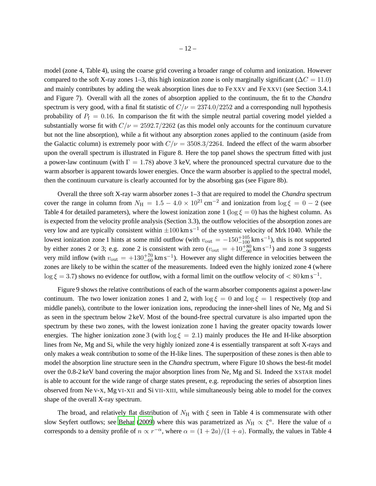model (zone 4, Table 4), using the coarse grid covering a broader range of column and ionization. However compared to the soft X-ray zones 1–3, this high ionization zone is only marginally significant ( $\Delta C = 11.0$ ) and mainly contributes by adding the weak absorption lines due to Fe XXV and Fe XXVI (see Section 3.4.1 and Figure 7). Overall with all the zones of absorption applied to the continuum, the fit to the *Chandra* spectrum is very good, with a final fit statistic of  $C/\nu = 2374.0/2252$  and a corresponding null hypothesis probability of  $P_f = 0.16$ . In comparison the fit with the simple neutral partial covering model yielded a substantially worse fit with  $C/\nu = 2592.7/2262$  (as this model only accounts for the continuum curvature but not the line absorption), while a fit without any absorption zones applied to the continuum (aside from the Galactic column) is extremely poor with  $C/\nu = 3508.3/2264$ . Indeed the effect of the warm absorber upon the overall spectrum is illustrated in Figure 8. Here the top panel shows the spectrum fitted with just a power-law continuum (with  $\Gamma = 1.78$ ) above 3 keV, where the pronounced spectral curvature due to the warm absorber is apparent towards lower energies. Once the warm absorber is applied to the spectral model, then the continuum curvature is clearly accounted for by the absorbing gas (see Figure 8b).

Overall the three soft X-ray warm absorber zones 1–3 that are required to model the *Chandra* spectrum cover the range in column from  $N_{\rm H} = 1.5 - 4.0 \times 10^{21} \text{ cm}^{-2}$  and ionization from  $\log \xi = 0 - 2$  (see Table 4 for detailed parameters), where the lowest ionization zone 1 (log  $\xi = 0$ ) has the highest column. As is expected from the velocity profile analysis (Section 3.3), the outflow velocities of the absorption zones are very low and are typically consistent within  $\pm 100 \text{ km s}^{-1}$  of the systemic velocity of Mrk 1040. While the lowest ionization zone 1 hints at some mild outflow (with  $v_{\text{out}} = -150^{+105}_{-100}$  km s<sup>-1</sup>), this is not supported by either zones 2 or 3; e.g. zone 2 is consistent with zero ( $v_{\text{out}} = +10^{+80}_{-90}$  km s<sup>-1</sup>) and zone 3 suggests very mild inflow (with  $v_{\text{out}} = +130^{+70}_{-60} \text{ km s}^{-1}$ ). However any slight difference in velocities between the zones are likely to be within the scatter of the measurements. Indeed even the highly ionized zone 4 (where  $\log \xi = 3.7$ ) shows no evidence for outflow, with a formal limit on the outflow velocity of  $\lt 80 \text{ km s}^{-1}$ .

Figure 9 shows the relative contributions of each of the warm absorber components against a power-law continuum. The two lower ionization zones 1 and 2, with  $\log \xi = 0$  and  $\log \xi = 1$  respectively (top and middle panels), contribute to the lower ionization ions, reproducing the inner-shell lines of Ne, Mg and Si as seen in the spectrum below 2 keV. Most of the bound-free spectral curvature is also imparted upon the spectrum by these two zones, with the lowest ionization zone 1 having the greater opacity towards lower energies. The higher ionization zone 3 (with  $\log \xi = 2.1$ ) mainly produces the He and H-like absorption lines from Ne, Mg and Si, while the very highly ionized zone 4 is essentially transparent at soft X-rays and only makes a weak contribution to some of the H-like lines. The superposition of these zones is then able to model the absorption line structure seen in the *Chandra* spectrum, where Figure 10 shows the best-fit model over the 0.8-2 keV band covering the major absorption lines from Ne, Mg and Si. Indeed the XSTAR model is able to account for the wide range of charge states present, e.g. reproducing the series of absorption lines observed from Ne V-X, Mg VI-XII and Si VII-XIII, while simultaneously being able to model for the convex shape of the overall X-ray spectrum.

The broad, and relatively flat distribution of  $N_H$  with  $\xi$  seen in Table 4 is commensurate with other slow Seyfert outflows; see [Behar](#page-19-21) [\(2009](#page-19-21)) where this was parametrized as  $N_H \propto \xi^a$ . Here the value of a corresponds to a density profile of  $n \propto r^{-\alpha}$ , where  $\alpha = (1 + 2a)/(1 + a)$ . Formally, the values in Table 4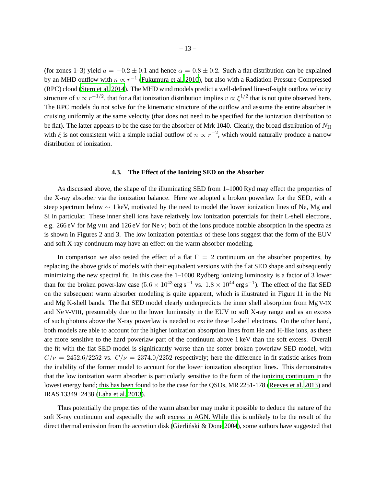(for zones 1–3) yield  $a = -0.2 \pm 0.1$  and hence  $\alpha = 0.8 \pm 0.2$ . Such a flat distribution can be explained by an MHD outflow with  $n \propto r^{-1}$  [\(Fukumura et al. 2010\)](#page-20-18), but also with a Radiation-Pressure Compressed (RPC) cloud [\(Stern et al. 2014](#page-22-19)). The MHD wind models predict a well-defined line-of-sight outflow velocity structure of  $v \propto r^{-1/2}$ , that for a flat ionization distribution implies  $v \propto \xi^{1/2}$  that is not quite observed here. The RPC models do not solve for the kinematic structure of the outflow and assume the entire absorber is cruising uniformly at the same velocity (that does not need to be specified for the ionization distribution to be flat). The latter appears to be the case for the absorber of Mrk 1040. Clearly, the broad distribution of  $N_H$ with  $\xi$  is not consistent with a simple radial outflow of  $n \propto r^{-2}$ , which would naturally produce a narrow distribution of ionization.

# **4.3. The Effect of the Ionizing SED on the Absorber**

As discussed above, the shape of the illuminating SED from 1–1000 Ryd may effect the properties of the X-ray absorber via the ionization balance. Here we adopted a broken powerlaw for the SED, with a steep spectrum below ∼ 1 keV, motivated by the need to model the lower ionization lines of Ne, Mg and Si in particular. These inner shell ions have relatively low ionization potentials for their L-shell electrons, e.g. 266 eV for Mg VIII and 126 eV for Ne V; both of the ions produce notable absorption in the spectra as is shown in Figures 2 and 3. The low ionization potentials of these ions suggest that the form of the EUV and soft X-ray continuum may have an effect on the warm absorber modeling.

In comparison we also tested the effect of a flat  $\Gamma = 2$  continuum on the absorber properties, by replacing the above grids of models with their equivalent versions with the flat SED shape and subsequently minimizing the new spectral fit. In this case the 1–1000 Rydberg ionizing luminosity is a factor of 3 lower than for the broken power-law case (5.6  $\times$  10<sup>43</sup> erg s<sup>-1</sup> vs. 1.8  $\times$  10<sup>44</sup> erg s<sup>-1</sup>). The effect of the flat SED on the subsequent warm absorber modeling is quite apparent, which is illustrated in Figure 11 in the Ne and Mg K-shell bands. The flat SED model clearly underpredicts the inner shell absorption from Mg V-IX and Ne V-VIII, presumably due to the lower luminosity in the EUV to soft X-ray range and as an excess of such photons above the X-ray powerlaw is needed to excite these L-shell electrons. On the other hand, both models are able to account for the higher ionization absorption lines from He and H-like ions, as these are more sensitive to the hard powerlaw part of the continuum above 1 keV than the soft excess. Overall the fit with the flat SED model is significantly worse than the softer broken powerlaw SED model, with  $C/\nu = 2452.6/2252$  vs.  $C/\nu = 2374.0/2252$  respectively; here the difference in fit statistic arises from the inability of the former model to account for the lower ionization absorption lines. This demonstrates that the low ionization warm absorber is particularly sensitive to the form of the ionizing continuum in the lowest energy band; this has been found to be the case for the QSOs, MR 2251-178 [\(Reeves et al. 2013](#page-22-14)) and IRAS 13349+2438 [\(Laha et al. 2013](#page-21-17)).

Thus potentially the properties of the warm absorber may make it possible to deduce the nature of the soft X-ray continuum and especially the soft excess in AGN. While this is unlikely to be the result of the direct thermal emission from the accretion disk (Gierlinski  $\&$  Done 2004), some authors have suggested that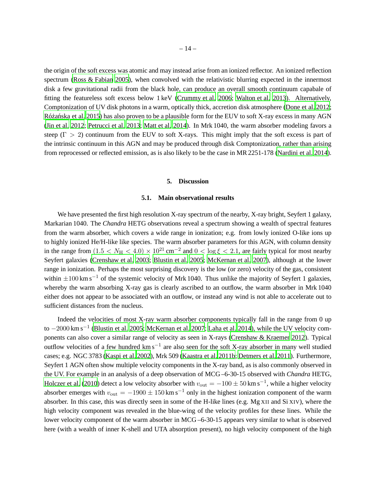the origin of the soft excess was atomic and may instead arise from an ionized reflector. An ionized reflection spectrum [\(Ross & Fabian 2005](#page-22-20)), when convolved with the relativistic blurring expected in the innermost disk a few gravitational radii from the black hole, can produce an overall smooth continuum capabale of fitting the featureless soft excess below 1 keV [\(Crummy et al.](#page-19-22) [2006](#page-19-22); [Walton et al. 2013](#page-23-13)). Alternatively, Comptonization of UV disk photons in a warm, optically thick, accretion disk atmosphere [\(Done et al. 2012](#page-19-23); Różańska et al. 2015) has also proven to be a plausible form for the EUV to soft X-ray excess in many AGN [\(Jin et al. 2012](#page-20-20); [Petrucci et al. 2013](#page-22-22); [Matt et al. 2014\)](#page-21-18). In Mrk 1040, the warm absorber modeling favors a steep ( $\Gamma > 2$ ) continuum from the EUV to soft X-rays. This might imply that the soft excess is part of the intrinsic continuum in this AGN and may be produced through disk Comptonization, rather than arising from reprocessed or reflected emission, as is also likely to be the case in MR 2251-178 [\(Nardini et al. 2014](#page-21-19)).

#### **5. Discussion**

## **5.1. Main observational results**

We have presented the first high resolution X-ray spectrum of the nearby, X-ray bright, Seyfert 1 galaxy, Markarian 1040. The *Chandra* HETG observations reveal a spectrum showing a wealth of spectral features from the warm absorber, which covers a wide range in ionization; e.g. from lowly ionized O-like ions up to highly ionized He/H-like like species. The warm absorber parameters for this AGN, with column density in the range from  $(1.5 < N_{\rm H} < 4.0) \times 10^{21}$  cm<sup>-2</sup> and  $0 < \log \xi < 2.1$ , are fairly typical for most nearby Seyfert galaxies [\(Crenshaw et al. 2003](#page-19-0); [Blustin et al. 2005](#page-19-1); [McKernan et al. 2007](#page-21-0)), although at the lower range in ionization. Perhaps the most surprising discovery is the low (or zero) velocity of the gas, consistent within  $\pm 100 \text{ km s}^{-1}$  of the systemic velocity of Mrk 1040. Thus unlike the majority of Seyfert 1 galaxies, whereby the warm absorbing X-ray gas is clearly ascribed to an outflow, the warm absorber in Mrk 1040 either does not appear to be associated with an outflow, or instead any wind is not able to accelerate out to sufficient distances from the nucleus.

Indeed the velocities of most X-ray warm absorber components typically fall in the range from 0 up to -2000 km s<sup>-1</sup> [\(Blustin et al. 2005;](#page-19-1) [McKernan et al. 2007](#page-21-0); [Laha et al. 2014](#page-21-20)), while the UV velocity components can also cover a similar range of velocity as seen in X-rays [\(Crenshaw & Kraemer 2012\)](#page-19-10). Typical outflow velocities of a few hundred km s<sup>-1</sup> are also seen for the soft X-ray absorber in many well studied cases; e.g. NGC 3783 [\(Kaspi et al. 2002](#page-21-1)), Mrk 509 [\(Kaastra et al. 2011b](#page-20-12); [Detmers et al. 2011](#page-19-24)). Furthermore, Seyfert 1 AGN often show multiple velocity components in the X-ray band, as is also commonly observed in the UV. For example in an analysis of a deep observation of MCG –6-30-15 observed with *Chandra* HETG, [Holczer et al.](#page-20-13) [\(2010](#page-20-13)) detect a low velocity absorber with  $v_{\text{out}} = -100 \pm 50 \text{ km s}^{-1}$ , while a higher velocity absorber emerges with  $v_{\text{out}} = -1900 \pm 150 \text{ km s}^{-1}$  only in the highest ionization component of the warm absorber. In this case, this was directly seen in some of the H-like lines (e.g. Mg XII and Si XIV), where the high velocity component was revealed in the blue-wing of the velocity profiles for these lines. While the lower velocity component of the warm absorber in MCG –6-30-15 appears very similar to what is observed here (with a wealth of inner K-shell and UTA absorption present), no high velocity component of the high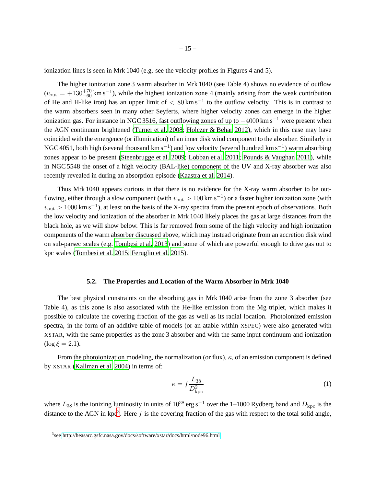ionization lines is seen in Mrk 1040 (e.g. see the velocity profiles in Figures 4 and 5).

The higher ionization zone 3 warm absorber in Mrk 1040 (see Table 4) shows no evidence of outflow  $(v_{\text{out}} = +130^{+70}_{-60} \text{ km s}^{-1})$ , while the highest ionization zone 4 (mainly arising from the weak contribution of He and H-like iron) has an upper limit of  $< 80 \text{ km s}^{-1}$  to the outflow velocity. This is in contrast to the warm absorbers seen in many other Seyferts, where higher velocity zones can emerge in the higher ionization gas. For instance in NGC 3516, fast outflowing zones of up to  $-4000 \text{ km s}^{-1}$  were present when the AGN continuum brightened [\(Turner et al. 2008](#page-23-1); [Holczer & Behar 2012](#page-20-11)), which in this case may have coincided with the emergence (or illumination) of an inner disk wind component to the absorber. Similarly in NGC 4051, both high (several thousand  $\rm km\,s^{-1}$ ) and low velocity (several hundred  $\rm km\,s^{-1})$  warm absorbing zones appear to be present [\(Steenbrugge et al. 2009;](#page-22-8) [Lobban et al. 2011;](#page-21-14) [Pounds & Vaughan 2011\)](#page-22-23), while in NGC 5548 the onset of a high velocity (BAL-like) component of the UV and X-ray absorber was also recently revealed in during an absorption episode [\(Kaastra](#page-20-21) et al. [2014\)](#page-20-21).

Thus Mrk 1040 appears curious in that there is no evidence for the X-ray warm absorber to be outflowing, either through a slow component (with  $v_{\text{out}} > 100 \text{ km s}^{-1}$ ) or a faster higher ionization zone (with  $v_{\text{out}} > 1000 \text{ km s}^{-1}$ ), at least on the basis of the X-ray spectra from the present epoch of observations. Both the low velocity and ionization of the absorber in Mrk 1040 likely places the gas at large distances from the black hole, as we will show below. This is far removed from some of the high velocity and high ionization components of the warm absorber discussed above, which may instead originate from an accretion disk wind on sub-parsec scales (e.g. [Tombesi et al. 2013](#page-23-0)) and some of which are powerful enough to drive gas out to kpc scales [\(Tombesi et al. 2015](#page-23-3); [Feruglio et al. 2015\)](#page-20-22).

#### **5.2. The Properties and Location of the Warm Absorber in Mrk 1040**

The best physical constraints on the absorbing gas in Mrk 1040 arise from the zone 3 absorber (see Table 4), as this zone is also associated with the He-like emission from the Mg triplet, which makes it possible to calculate the covering fraction of the gas as well as its radial location. Photoionized emission spectra, in the form of an additive table of models (or an atable within XSPEC) were also generated with XSTAR, with the same properties as the zone 3 absorber and with the same input continuum and ionization  $(\log \xi = 2.1).$ 

From the photoionization modeling, the normalization (or flux),  $\kappa$ , of an emission component is defined by XSTAR [\(Kallman et al. 2004](#page-21-16)) in terms of:

$$
\kappa = f \frac{L_{38}}{D_{\rm kpc}^2} \tag{1}
$$

where  $L_{38}$  is the ionizing luminosity in units of 10<sup>38</sup> erg s<sup>-1</sup> over the 1–1000 Rydberg band and  $D_{kpc}$  is the distance to the AGN in kpc<sup>[3](#page-23-14)</sup>. Here f is the covering fraction of the gas with respect to the total solid angle,

<sup>3</sup> see<http://heasarc.gsfc.nasa.gov/docs/software/xstar/docs/html/node96.html>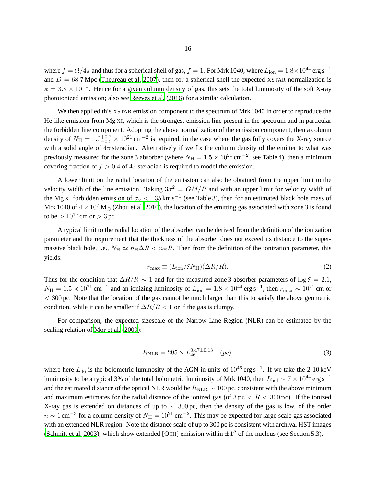where  $f = \Omega/4\pi$  and thus for a spherical shell of gas,  $f = 1$ . For Mrk 1040, where  $L_{\text{ion}} = 1.8 \times 10^{44}$  erg s<sup>-1</sup> and  $D = 68.7$  Mpc [\(Theureau et al. 2007\)](#page-23-15), then for a spherical shell the expected XSTAR normalization is  $\kappa = 3.8 \times 10^{-4}$ . Hence for a given column density of gas, this sets the total luminosity of the soft X-ray photoionized emission; also see [Reeves et al.](#page-22-24) [\(2016](#page-22-24)) for a similar calculation.

We then applied this XSTAR emission component to the spectrum of Mrk 1040 in order to reproduce the He-like emission from Mg XI, which is the strongest emission line present in the spectrum and in particular the forbidden line component. Adopting the above normalization of the emission component, then a column density of  $N_{\rm H} = 1.0_{-0.5}^{+0.2} \times 10^{21}$  cm<sup>-2</sup> is required, in the case where the gas fully covers the X-ray source with a solid angle of  $4\pi$  steradian. Alternatively if we fix the column density of the emitter to what was previously measured for the zone 3 absorber (where  $N_{\rm H} = 1.5 \times 10^{21} \text{ cm}^{-2}$ , see Table 4), then a minimum covering fraction of  $f > 0.4$  of  $4\pi$  steradian is required to model the emission.

A lower limit on the radial location of the emission can also be obtained from the upper limit to the velocity width of the line emission. Taking  $3\sigma^2 = GM/R$  and with an upper limit for velocity width of the Mg XI forbidden emission of  $\sigma_v < 135 \text{ km s}^{-1}$  (see Table 3), then for an estimated black hole mass of Mrk 1040 of  $4 \times 10^7$  M<sub> $\odot$ </sub> [\(Zhou et al. 2010](#page-23-5)), the location of the emitting gas associated with zone 3 is found to be  $> 10^{19}$  cm or  $> 3$  pc.

A typical limit to the radial location of the absorber can be derived from the definition of the ionization parameter and the requirement that the thickness of the absorber does not exceed its distance to the supermassive black hole, i.e.,  $N_H \simeq n_H \Delta R < n_H R$ . Then from the definition of the ionization parameter, this yields:-

$$
r_{\text{max}} \equiv (L_{\text{ion}}/\xi N_{\text{H}})(\Delta R/R). \tag{2}
$$

Thus for the condition that  $\Delta R/R \sim 1$  and for the measured zone 3 absorber parameters of  $\log \xi = 2.1$ ,  $N_H = 1.5 \times 10^{21}$  cm<sup>-2</sup> and an ionizing luminosity of  $L_{\text{ion}} = 1.8 \times 10^{44}$  erg s<sup>-1</sup>, then  $r_{\text{max}} \sim 10^{21}$  cm or  $<$  300 pc. Note that the location of the gas cannot be much larger than this to satisfy the above geometric condition, while it can be smaller if  $\Delta R/R < 1$  or if the gas is clumpy.

For comparison, the expected sizescale of the Narrow Line Region (NLR) can be estimated by the scaling relation of [Mor et al.](#page-21-21) [\(2009](#page-21-21)):-

$$
R_{\rm NLR} = 295 \times L_{46}^{0.47 \pm 0.13} \quad (pc). \tag{3}
$$

where here  $L_{46}$  is the bolometric luminosity of the AGN in units of  $10^{46}$  erg s<sup>-1</sup>. If we take the 2-10 keV luminosity to be a typical 3% of the total bolometric luminosity of Mrk 1040, then  $L_{\rm bol} \sim 7 \times 10^{44}$  erg s<sup>-1</sup> and the estimated distance of the optical NLR would be  $R_{\text{NLR}} \sim 100$  pc, consistent with the above minimum and maximum estimates for the radial distance of the ionized gas (of  $3 pc < R < 300 pc$ ). If the ionized X-ray gas is extended on distances of up to  $\sim 300$  pc, then the density of the gas is low, of the order  $n \sim 1$  cm<sup>-3</sup> for a column density of  $N_H = 10^{21}$  cm<sup>-2</sup>. This may be expected for large scale gas associated with an extended NLR region. Note the distance scale of up to 300 pc is consistent with archival HST images [\(Schmitt et al. 2003](#page-22-25)), which show extended [O III] emission within  $\pm 1''$  of the nucleus (see Section 5.3).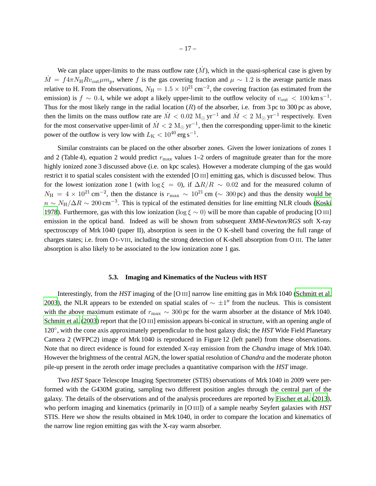We can place upper-limits to the mass outflow rate  $(M)$ , which in the quasi-spherical case is given by  $\dot{M} = f 4 \pi N_H R v_{\text{out}} \mu m_{\text{p}}$ , where f is the gas covering fraction and  $\mu \sim 1.2$  is the average particle mass relative to H. From the observations,  $N_{\rm H} = 1.5 \times 10^{21} \rm \, cm^{-2}$ , the covering fraction (as estimated from the emission) is  $f \sim 0.4$ , while we adopt a likely upper-limit to the outflow velocity of  $v_{\text{out}} < 100 \text{ km s}^{-1}$ . Thus for the most likely range in the radial location  $(R)$  of the absorber, i.e. from 3 pc to 300 pc as above, then the limits on the mass outflow rate are  $\dot{M} < 0.02 \text{ M}_{\odot} \text{ yr}^{-1}$  and  $\dot{M} < 2 \text{ M}_{\odot} \text{ yr}^{-1}$  respectively. Even for the most conservative upper-limit of  $\dot{M} < 2 \text{ M}_{\odot} \text{ yr}^{-1}$ , then the corresponding upper-limit to the kinetic power of the outflow is very low with  $L_{\rm K} < 10^{40}$  erg s<sup>-1</sup>.

Similar constraints can be placed on the other absorber zones. Given the lower ionizations of zones 1 and 2 (Table 4), equation 2 would predict  $r_{\text{max}}$  values 1–2 orders of magnitude greater than for the more highly ionized zone 3 discussed above (i.e. on kpc scales). However a moderate clumping of the gas would restrict it to spatial scales consistent with the extended [O III] emitting gas, which is discussed below. Thus for the lowest ionization zone 1 (with  $\log \xi = 0$ ), if  $\Delta R/R \sim 0.02$  and for the measured column of  $N_{\rm H} = 4 \times 10^{21} \text{ cm}^{-2}$ , then the distance is  $r_{\rm max} \sim 10^{21} \text{ cm}$  ( $\sim 300 \text{ pc}$ ) and thus the density would be  $n \sim N_H/\Delta R \sim 200 \text{ cm}^{-3}$ . This is typical of the estimated densities for line emitting NLR clouds [\(Koski](#page-21-22) [1978\)](#page-21-22). Furthermore, gas with this low ionization (log  $\xi \sim 0$ ) will be more than capable of producing [O III] emission in the optical band. Indeed as will be shown from subsequent *XMM-Newton/RGS* soft X-ray spectroscopy of Mrk 1040 (paper II), absorption is seen in the O K-shell band covering the full range of charges states; i.e. from O I-VIII, including the strong detection of K-shell absorption from O III. The latter absorption is also likely to be associated to the low ionization zone 1 gas.

#### **5.3. Imaging and Kinematics of the Nucleus with HST**

Interestingly, from the *HST* imaging of the [O III] narrow line emitting gas in Mrk 1040 [\(Schmitt et al.](#page-22-25) [2003\)](#page-22-25), the NLR appears to be extended on spatial scales of  $\sim \pm 1''$  from the nucleus. This is consistent with the above maximum estimate of  $r_{\text{max}} \sim 300 \,\text{pc}$  for the warm absorber at the distance of Mrk 1040. [Schmitt et al.](#page-22-25) [\(2003](#page-22-25)) report that the [O III] emission appears bi-conical in structure, with an opening angle of 120°, with the cone axis approximately perpendicular to the host galaxy disk; the *HST* Wide Field Planetary Camera 2 (WFPC2) image of Mrk 1040 is reproduced in Figure 12 (left panel) from these observations. Note that no direct evidence is found for extended X-ray emission from the *Chandra* image of Mrk 1040. However the brightness of the central AGN, the lower spatial resolution of *Chandra* and the moderate photon pile-up present in the zeroth order image precludes a quantitative comparison with the *HST* image.

Two *HST* Space Telescope Imaging Spectrometer (STIS) observations of Mrk 1040 in 2009 were performed with the G430M grating, sampling two different position angles through the central part of the galaxy. The details of the observations and of the analysis proceedures are reported by [Fischer et al.](#page-20-23) [\(2013](#page-20-23)), who perform imaging and kinematics (primarily in [O III]) of a sample nearby Seyfert galaxies with *HST* STIS. Here we show the results obtained in Mrk 1040, in order to compare the location and kinematics of the narrow line region emitting gas with the X-ray warm absorber.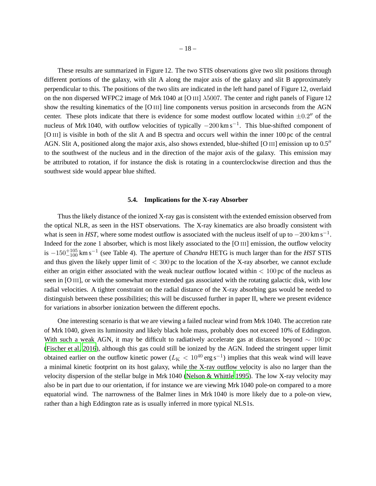These results are summarized in Figure 12. The two STIS observations give two slit positions through different portions of the galaxy, with slit A along the major axis of the galaxy and slit B approximately perpendicular to this. The positions of the two slits are indicated in the left hand panel of Figure 12, overlaid on the non dispersed WFPC2 image of Mrk 1040 at [O III] λ5007. The center and right panels of Figure 12 show the resulting kinematics of the [O III] line components versus position in arcseconds from the AGN center. These plots indicate that there is evidence for some modest outflow located within  $\pm 0.2$ " of the nucleus of Mrk 1040, with outflow velocities of typically  $-200 \text{ km s}^{-1}$ . This blue-shifted component of [O III] is visible in both of the slit A and B spectra and occurs well within the inner 100 pc of the central AGN. Slit A, positioned along the major axis, also shows extended, blue-shifted [O III] emission up to 0.5′′ to the southwest of the nucleus and in the direction of the major axis of the galaxy. This emission may be attributed to rotation, if for instance the disk is rotating in a counterclockwise direction and thus the southwest side would appear blue shifted.

## **5.4. Implications for the X-ray Absorber**

Thus the likely distance of the ionized X-ray gas is consistent with the extended emission observed from the optical NLR, as seen in the HST observations. The X-ray kinematics are also broadly consistent with what is seen in *HST*, where some modest outflow is associated with the nucleus itself of up to  $-200 \text{ km s}^{-1}$ . Indeed for the zone 1 absorber, which is most likely associated to the [O III] emission, the outflow velocity is −150+105 <sup>−</sup><sup>100</sup> km s−<sup>1</sup> (see Table 4). The aperture of *Chandra* HETG is much larger than for the *HST* STIS and thus given the likely upper limit of  $< 300$  pc to the location of the X-ray absorber, we cannot exclude either an origin either associated with the weak nuclear outflow located within  $< 100$  pc of the nucleus as seen in [O III], or with the somewhat more extended gas associated with the rotating galactic disk, with low radial velocities. A tighter constraint on the radial distance of the X-ray absorbing gas would be needed to distinguish between these possibilities; this will be discussed further in paper II, where we present evidence for variations in absorber ionization between the different epochs.

One interesting scenario is that we are viewing a failed nuclear wind from Mrk 1040. The accretion rate of Mrk 1040, given its luminosity and likely black hole mass, probably does not exceed 10% of Eddington. With such a weak AGN, it may be difficult to radiatively accelerate gas at distances beyond  $\sim 100 \text{ pc}$ [\(Fischer et al. 2016](#page-20-24)), although this gas could still be ionized by the AGN. Indeed the stringent upper limit obtained earlier on the outflow kinetic power ( $L_{\rm K}$  < 10<sup>40</sup> erg s<sup>-1</sup>) implies that this weak wind will leave a minimal kinetic footprint on its host galaxy, while the X-ray outflow velocity is also no larger than the velocity dispersion of the stellar bulge in Mrk 1040 (Nelson [& Whittle 1995](#page-21-6)). The low X-ray velocity may also be in part due to our orientation, if for instance we are viewing Mrk 1040 pole-on compared to a more equatorial wind. The narrowness of the Balmer lines in Mrk 1040 is more likely due to a pole-on view, rather than a high Eddington rate as is usually inferred in more typical NLS1s.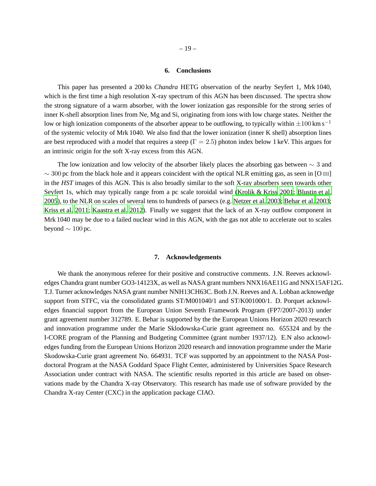# **6. Conclusions**

This paper has presented a 200 ks *Chandra* HETG observation of the nearby Seyfert 1, Mrk 1040, which is the first time a high resolution X-ray spectrum of this AGN has been discussed. The spectra show the strong signature of a warm absorber, with the lower ionization gas responsible for the strong series of inner K-shell absorption lines from Ne, Mg and Si, originating from ions with low charge states. Neither the low or high ionization components of the absorber appear to be outflowing, to typically within  $\pm 100 \text{ km s}^{-1}$ of the systemic velocity of Mrk 1040. We also find that the lower ionization (inner K shell) absorption lines are best reproduced with a model that requires a steep ( $\Gamma = 2.5$ ) photon index below 1 keV. This argues for an intrinsic origin for the soft X-ray excess from this AGN.

The low ionization and low velocity of the absorber likely places the absorbing gas between  $\sim$  3 and  $\sim$  300 pc from the black hole and it appears coincident with the optical NLR emitting gas, as seen in [O III] in the *HST* images of this AGN. This is also broadly similar to the soft X-ray absorbers seen towards other Seyfert 1s, which may typically range from a pc scale toroidal wind [\(Krolik & Kriss 2001](#page-21-23); [Blustin et al.](#page-19-1) [2005\)](#page-19-1), to the NLR on scales of several tens to hundreds of parsecs (e.g. [Netzer et al. 2003](#page-21-24); [Behar et al. 2003;](#page-19-7) [Kriss et al. 2011](#page-21-25); [Kaastra et al. 2012\)](#page-20-5). Finally we suggest that the lack of an X-ray outflow component in Mrk 1040 may be due to a failed nuclear wind in this AGN, with the gas not able to accelerate out to scales beyond  $\sim 100$  pc.

#### **7. Acknowledgements**

We thank the anonymous referee for their positive and constructive comments. J.N. Reeves acknowledges Chandra grant number GO3-14123X, as well as NASA grant numbers NNX16AE11G and NNX15AF12G. T.J. Turner acknowledges NASA grant number NNH13CH63C. Both J.N. Reeves and A. Lobban acknowedge support from STFC, via the consolidated grants ST/M001040/1 and ST/K001000/1. D. Porquet acknowledges financial support from the European Union Seventh Framework Program (FP7/2007-2013) under grant agreement number 312789. E. Behar is supported by the the European Unions Horizon 2020 research and innovation programme under the Marie Sklodowska-Curie grant agreement no. 655324 and by the I-CORE program of the Planning and Budgeting Committee (grant number 1937/12). E.N also acknowledges funding from the European Unions Horizon 2020 research and innovation programme under the Marie Skodowska-Curie grant agreement No. 664931. TCF was supported by an appointment to the NASA Postdoctoral Program at the NASA Goddard Space Flight Center, administered by Universities Space Research Association under contract with NASA. The scientific results reported in this article are based on observations made by the Chandra X-ray Observatory. This research has made use of software provided by the Chandra X-ray Center (CXC) in the application package CIAO.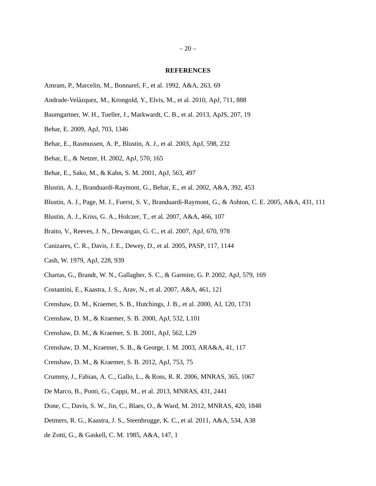## **REFERENCES**

- <span id="page-19-14"></span>Amram, P., Marcelin, M., Bonnarel, F., et al. 1992, A&A, 263, 69
- <span id="page-19-18"></span>Andrade-Velázquez, M., Krongold, Y., Elvis, M., et al. 2010, ApJ, 711, 888
- <span id="page-19-12"></span>Baumgartner, W. H., Tueller, J., Markwardt, C. B., et al. 2013, ApJS, 207, 19
- <span id="page-19-21"></span>Behar, E. 2009, ApJ, 703, 1346
- <span id="page-19-7"></span>Behar, E., Rasmussen, A. P., Blustin, A. J., et al. 2003, ApJ, 598, 232
- <span id="page-19-4"></span>Behar, E., & Netzer, H. 2002, ApJ, 570, 165
- <span id="page-19-3"></span>Behar, E., Sako, M., & Kahn, S. M. 2001, ApJ, 563, 497
- <span id="page-19-2"></span>Blustin, A. J., Branduardi-Raymont, G., Behar, E., et al. 2002, A&A, 392, 453
- <span id="page-19-1"></span>Blustin, A. J., Page, M. J., Fuerst, S. V., Branduardi-Raymont, G., & Ashton, C. E. 2005, A&A, 431, 111
- <span id="page-19-19"></span>Blustin, A. J., Kriss, G. A., Holczer, T., et al. 2007, A&A, 466, 107
- <span id="page-19-5"></span>Braito, V., Reeves, J. N., Dewangan, G. C., et al. 2007, ApJ, 670, 978
- <span id="page-19-16"></span>Canizares, C. R., Davis, J. E., Dewey, D., et al. 2005, PASP, 117, 1144
- <span id="page-19-17"></span>Cash, W. 1979, ApJ, 228, 939
- <span id="page-19-6"></span>Chartas, G., Brandt, W. N., Gallagher, S. C., & Garmire, G. P. 2002, ApJ, 579, 169
- <span id="page-19-20"></span>Costantini, E., Kaastra, J. S., Arav, N., et al. 2007, A&A, 461, 121
- <span id="page-19-8"></span>Crenshaw, D. M., Kraemer, S. B., Hutchings, J. B., et al. 2000, AJ, 120, 1731
- <span id="page-19-9"></span>Crenshaw, D. M., & Kraemer, S. B. 2000, ApJ, 532, L101
- <span id="page-19-15"></span>Crenshaw, D. M., & Kraemer, S. B. 2001, ApJ, 562, L29
- <span id="page-19-0"></span>Crenshaw, D. M., Kraemer, S. B., & George, I. M. 2003, ARA&A, 41, 117
- <span id="page-19-10"></span>Crenshaw, D. M., & Kraemer, S. B. 2012, ApJ, 753, 75
- <span id="page-19-22"></span>Crummy, J., Fabian, A. C., Gallo, L., & Ross, R. R. 2006, MNRAS, 365, 1067
- <span id="page-19-11"></span>De Marco, B., Ponti, G., Cappi, M., et al. 2013, MNRAS, 431, 2441
- <span id="page-19-23"></span>Done, C., Davis, S. W., Jin, C., Blaes, O., & Ward, M. 2012, MNRAS, 420, 1848
- <span id="page-19-24"></span>Detmers, R. G., Kaastra, J. S., Steenbrugge, K. C., et al. 2011, A&A, 534, A38
- <span id="page-19-13"></span>de Zotti, G., & Gaskell, C. M. 1985, A&A, 147, 1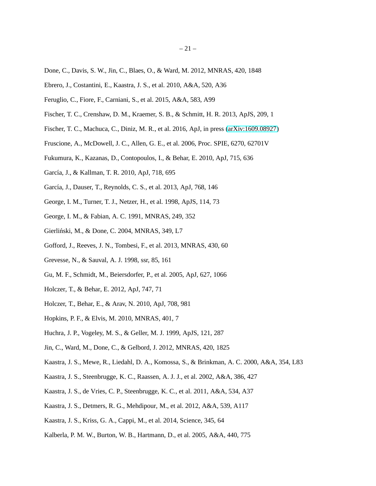- Done, C., Davis, S. W., Jin, C., Blaes, O., & Ward, M. 2012, MNRAS, 420, 1848
- <span id="page-20-4"></span>Ebrero, J., Costantini, E., Kaastra, J. S., et al. 2010, A&A, 520, A36
- <span id="page-20-22"></span>Feruglio, C., Fiore, F., Carniani, S., et al. 2015, A&A, 583, A99
- <span id="page-20-23"></span>Fischer, T. C., Crenshaw, D. M., Kraemer, S. B., & Schmitt, H. R. 2013, ApJS, 209, 1
- <span id="page-20-24"></span>Fischer, T. C., Machuca, C., Diniz, M. R., et al. 2016, ApJ, in press [\(arXiv:1609.08927\)](http://arxiv.org/abs/1609.08927)
- <span id="page-20-8"></span>Fruscione, A., McDowell, J. C., Allen, G. E., et al. 2006, Proc. SPIE, 6270, 62701V
- <span id="page-20-18"></span>Fukumura, K., Kazanas, D., Contopoulos, I., & Behar, E. 2010, ApJ, 715, 636
- <span id="page-20-15"></span>García, J., & Kallman, T. R. 2010, ApJ, 718, 695
- <span id="page-20-16"></span>García, J., Dauser, T., Reynolds, C. S., et al. 2013, ApJ, 768, 146
- <span id="page-20-0"></span>George, I. M., Turner, T. J., Netzer, H., et al. 1998, ApJS, 114, 73
- <span id="page-20-14"></span>George, I. M., & Fabian, A. C. 1991, MNRAS, 249, 352
- <span id="page-20-19"></span>Gierliński, M., & Done, C. 2004, MNRAS, 349, L7
- <span id="page-20-3"></span>Gofford, J., Reeves, J. N., Tombesi, F., et al. 2013, MNRAS, 430, 60
- <span id="page-20-17"></span>Grevesse, N., & Sauval, A. J. 1998, ssr, 85, 161
- <span id="page-20-2"></span>Gu, M. F., Schmidt, M., Beiersdorfer, P., et al. 2005, ApJ, 627, 1066
- <span id="page-20-11"></span>Holczer, T., & Behar, E. 2012, ApJ, 747, 71
- <span id="page-20-13"></span>Holczer, T., Behar, E., & Arav, N. 2010, ApJ, 708, 981
- <span id="page-20-6"></span>Hopkins, P. F., & Elvis, M. 2010, MNRAS, 401, 7
- <span id="page-20-7"></span>Huchra, J. P., Vogeley, M. S., & Geller, M. J. 1999, ApJS, 121, 287
- <span id="page-20-20"></span>Jin, C., Ward, M., Done, C., & Gelbord, J. 2012, MNRAS, 420, 1825
- <span id="page-20-1"></span>Kaastra, J. S., Mewe, R., Liedahl, D. A., Komossa, S., & Brinkman, A. C. 2000, A&A, 354, L83
- <span id="page-20-10"></span>Kaastra, J. S., Steenbrugge, K. C., Raassen, A. J. J., et al. 2002, A&A, 386, 427
- <span id="page-20-12"></span>Kaastra, J. S., de Vries, C. P., Steenbrugge, K. C., et al. 2011, A&A, 534, A37
- <span id="page-20-5"></span>Kaastra, J. S., Detmers, R. G., Mehdipour, M., et al. 2012, A&A, 539, A117
- <span id="page-20-21"></span>Kaastra, J. S., Kriss, G. A., Cappi, M., et al. 2014, Science, 345, 64
- <span id="page-20-9"></span>Kalberla, P. M. W., Burton, W. B., Hartmann, D., et al. 2005, A&A, 440, 775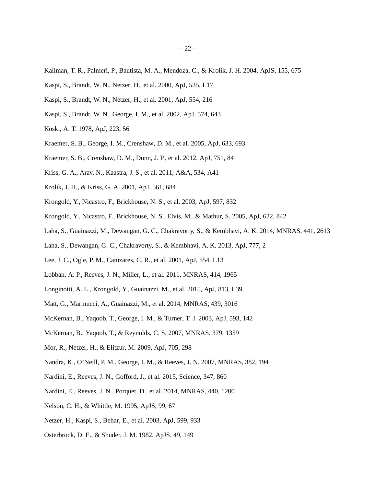- <span id="page-21-16"></span>Kallman, T. R., Palmeri, P., Bautista, M. A., Mendoza, C., & Krolik, J. H. 2004, ApJS, 155, 675
- <span id="page-21-9"></span>Kaspi, S., Brandt, W. N., Netzer, H., et al. 2000, ApJ, 535, L17
- <span id="page-21-10"></span>Kaspi, S., Brandt, W. N., Netzer, H., et al. 2001, ApJ, 554, 216
- <span id="page-21-1"></span>Kaspi, S., Brandt, W. N., George, I. M., et al. 2002, ApJ, 574, 643
- <span id="page-21-22"></span>Koski, A. T. 1978, ApJ, 223, 56
- <span id="page-21-13"></span>Kraemer, S. B., George, I. M., Crenshaw, D. M., et al. 2005, ApJ, 633, 693
- <span id="page-21-8"></span>Kraemer, S. B., Crenshaw, D. M., Dunn, J. P., et al. 2012, ApJ, 751, 84
- <span id="page-21-25"></span>Kriss, G. A., Arav, N., Kaastra, J. S., et al. 2011, A&A, 534, A41
- <span id="page-21-23"></span>Krolik, J. H., & Kriss, G. A. 2001, ApJ, 561, 684
- <span id="page-21-11"></span>Krongold, Y., Nicastro, F., Brickhouse, N. S., et al. 2003, ApJ, 597, 832
- <span id="page-21-5"></span>Krongold, Y., Nicastro, F., Brickhouse, N. S., Elvis, M., & Mathur, S. 2005, ApJ, 622, 842
- <span id="page-21-20"></span>Laha, S., Guainazzi, M., Dewangan, G. C., Chakravorty, S., & Kembhavi, A. K. 2014, MNRAS, 441, 2613
- <span id="page-21-17"></span>Laha, S., Dewangan, G. C., Chakravorty, S., & Kembhavi, A. K. 2013, ApJ, 777, 2
- <span id="page-21-12"></span>Lee, J. C., Ogle, P. M., Canizares, C. R., et al. 2001, ApJ, 554, L13
- <span id="page-21-14"></span>Lobban, A. P., Reeves, J. N., Miller, L., et al. 2011, MNRAS, 414, 1965
- <span id="page-21-4"></span>Longinotti, A. L., Krongold, Y., Guainazzi, M., et al. 2015, ApJ, 813, L39
- <span id="page-21-18"></span>Matt, G., Marinucci, A., Guainazzi, M., et al. 2014, MNRAS, 439, 3016
- <span id="page-21-2"></span>McKernan, B., Yaqoob, T., George, I. M., & Turner, T. J. 2003, ApJ, 593, 142
- <span id="page-21-0"></span>McKernan, B., Yaqoob, T., & Reynolds, C. S. 2007, MNRAS, 379, 1359
- <span id="page-21-21"></span>Mor, R., Netzer, H., & Elitzur, M. 2009, ApJ, 705, 298
- <span id="page-21-15"></span>Nandra, K., O'Neill, P. M., George, I. M., & Reeves, J. N. 2007, MNRAS, 382, 194
- <span id="page-21-3"></span>Nardini, E., Reeves, J. N., Gofford, J., et al. 2015, Science, 347, 860
- <span id="page-21-19"></span>Nardini, E., Reeves, J. N., Porquet, D., et al. 2014, MNRAS, 440, 1200
- <span id="page-21-6"></span>Nelson, C. H., & Whittle, M. 1995, ApJS, 99, 67
- <span id="page-21-24"></span>Netzer, H., Kaspi, S., Behar, E., et al. 2003, ApJ, 599, 933
- <span id="page-21-7"></span>Osterbrock, D. E., & Shuder, J. M. 1982, ApJS, 49, 149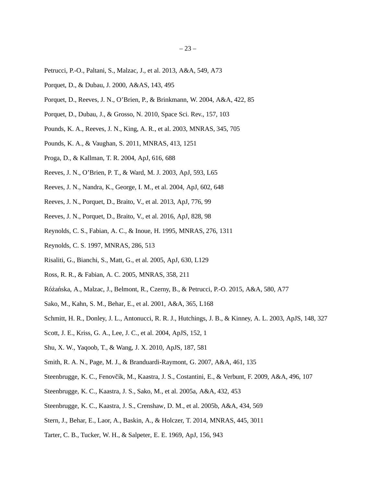- <span id="page-22-22"></span>Petrucci, P.-O., Paltani, S., Malzac, J., et al. 2013, A&A, 549, A73
- <span id="page-22-15"></span>Porquet, D., & Dubau, J. 2000, A&AS, 143, 495
- <span id="page-22-1"></span>Porquet, D., Reeves, J. N., O'Brien, P., & Brinkmann, W. 2004, A&A, 422, 85
- <span id="page-22-16"></span>Porquet, D., Dubau, J., & Grosso, N. 2010, Space Sci. Rev., 157, 103
- <span id="page-22-5"></span>Pounds, K. A., Reeves, J. N., King, A. R., et al. 2003, MNRAS, 345, 705
- <span id="page-22-23"></span>Pounds, K. A., & Vaughan, S. 2011, MNRAS, 413, 1251
- <span id="page-22-9"></span>Proga, D., & Kallman, T. R. 2004, ApJ, 616, 688
- <span id="page-22-6"></span>Reeves, J. N., O'Brien, P. T., & Ward, M. J. 2003, ApJ, 593, L65
- <span id="page-22-3"></span>Reeves, J. N., Nandra, K., George, I. M., et al. 2004, ApJ, 602, 648
- <span id="page-22-14"></span>Reeves, J. N., Porquet, D., Braito, V., et al. 2013, ApJ, 776, 99
- <span id="page-22-24"></span>Reeves, J. N., Porquet, D., Braito, V., et al. 2016, ApJ, 828, 98
- <span id="page-22-10"></span>Reynolds, C. S., Fabian, A. C., & Inoue, H. 1995, MNRAS, 276, 1311
- <span id="page-22-0"></span>Reynolds, C. S. 1997, MNRAS, 286, 513
- <span id="page-22-4"></span>Risaliti, G., Bianchi, S., Matt, G., et al. 2005, ApJ, 630, L129
- <span id="page-22-20"></span>Ross, R. R., & Fabian, A. C. 2005, MNRAS, 358, 211
- <span id="page-22-21"></span>Różańska, A., Malzac, J., Belmont, R., Czerny, B., & Petrucci, P.-O. 2015, A&A, 580, A77
- <span id="page-22-2"></span>Sako, M., Kahn, S. M., Behar, E., et al. 2001, A&A, 365, L168
- <span id="page-22-25"></span>Schmitt, H. R., Donley, J. L., Antonucci, R. R. J., Hutchings, J. B., & Kinney, A. L. 2003, ApJS, 148, 327
- <span id="page-22-7"></span>Scott, J. E., Kriss, G. A., Lee, J. C., et al. 2004, ApJS, 152, 1
- <span id="page-22-17"></span>Shu, X. W., Yaqoob, T., & Wang, J. X. 2010, ApJS, 187, 581
- <span id="page-22-11"></span>Smith, R. A. N., Page, M. J., & Branduardi-Raymont, G. 2007, A&A, 461, 135
- <span id="page-22-8"></span>Steenbrugge, K. C., Fenovčík, M., Kaastra, J. S., Costantini, E., & Verbunt, F. 2009, A&A, 496, 107
- <span id="page-22-12"></span>Steenbrugge, K. C., Kaastra, J. S., Sako, M., et al. 2005a, A&A, 432, 453
- <span id="page-22-13"></span>Steenbrugge, K. C., Kaastra, J. S., Crenshaw, D. M., et al. 2005b, A&A, 434, 569
- <span id="page-22-19"></span>Stern, J., Behar, E., Laor, A., Baskin, A., & Holczer, T. 2014, MNRAS, 445, 3011
- <span id="page-22-18"></span>Tarter, C. B., Tucker, W. H., & Salpeter, E. E. 1969, ApJ, 156, 943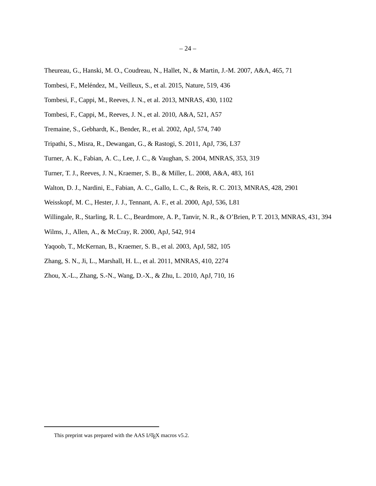- <span id="page-23-15"></span>Theureau, G., Hanski, M. O., Coudreau, N., Hallet, N., & Martin, J.-M. 2007, A&A, 465, 71
- <span id="page-23-3"></span>Tombesi, F., Meléndez, M., Veilleux, S., et al. 2015, Nature, 519, 436
- <span id="page-23-0"></span>Tombesi, F., Cappi, M., Reeves, J. N., et al. 2013, MNRAS, 430, 1102
- <span id="page-23-2"></span>Tombesi, F., Cappi, M., Reeves, J. N., et al. 2010, A&A, 521, A57
- <span id="page-23-6"></span>Tremaine, S., Gebhardt, K., Bender, R., et al. 2002, ApJ, 574, 740
- <span id="page-23-7"></span>Tripathi, S., Misra, R., Dewangan, G., & Rastogi, S. 2011, ApJ, 736, L37
- <span id="page-23-12"></span>Turner, A. K., Fabian, A. C., Lee, J. C., & Vaughan, S. 2004, MNRAS, 353, 319
- <span id="page-23-1"></span>Turner, T. J., Reeves, J. N., Kraemer, S. B., & Miller, L. 2008, A&A, 483, 161
- <span id="page-23-13"></span>Walton, D. J., Nardini, E., Fabian, A. C., Gallo, L. C., & Reis, R. C. 2013, MNRAS, 428, 2901
- <span id="page-23-8"></span>Weisskopf, M. C., Hester, J. J., Tennant, A. F., et al. 2000, ApJ, 536, L81
- <span id="page-23-10"></span>Willingale, R., Starling, R. L. C., Beardmore, A. P., Tanvir, N. R., & O'Brien, P. T. 2013, MNRAS, 431, 394
- <span id="page-23-9"></span>Wilms, J., Allen, A., & McCray, R. 2000, ApJ, 542, 914
- <span id="page-23-11"></span>Yaqoob, T., McKernan, B., Kraemer, S. B., et al. 2003, ApJ, 582, 105
- <span id="page-23-4"></span>Zhang, S. N., Ji, L., Marshall, H. L., et al. 2011, MNRAS, 410, 2274
- <span id="page-23-5"></span>Zhou, X.-L., Zhang, S.-N., Wang, D.-X., & Zhu, L. 2010, ApJ, 710, 16

<span id="page-23-14"></span>This preprint was prepared with the AAS L<sup>AT</sup>EX macros v5.2.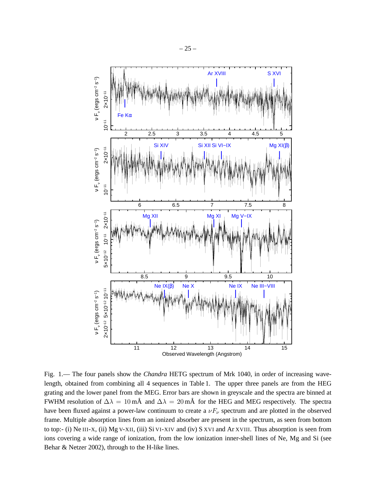

<span id="page-24-0"></span>Fig. 1.— The four panels show the *Chandra* HETG spectrum of Mrk 1040, in order of increasing wavelength, obtained from combining all 4 sequences in Table 1. The upper three panels are from the HEG grating and the lower panel from the MEG. Error bars are shown in greyscale and the spectra are binned at FWHM resolution of  $\Delta \lambda = 10$  mÅ and  $\Delta \lambda = 20$  mÅ for the HEG and MEG respectively. The spectra have been fluxed against a power-law continuum to create a  $\nu F_{\nu}$  spectrum and are plotted in the observed frame. Multiple absorption lines from an ionized absorber are present in the spectrum, as seen from bottom to top:- (i) Ne III-X, (ii) Mg V-XII, (iii) Si VI-XIV and (iv) S XVI and Ar XVIII. Thus absorption is seen from ions covering a wide range of ionization, from the low ionization inner-shell lines of Ne, Mg and Si (see Behar & Netzer 2002), through to the H-like lines.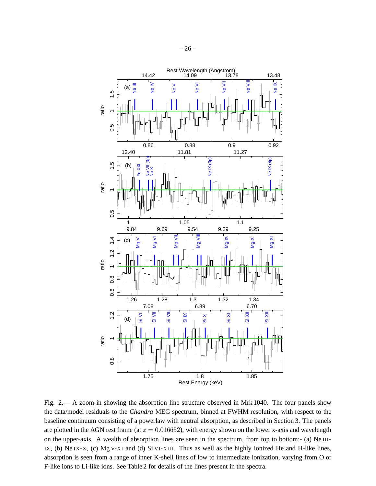

<span id="page-25-0"></span>Fig. 2.— A zoom-in showing the absorption line structure observed in Mrk 1040. The four panels show the data/model residuals to the *Chandra* MEG spectrum, binned at FWHM resolution, with respect to the baseline continuum consisting of a powerlaw with neutral absorption, as described in Section 3. The panels are plotted in the AGN rest frame (at  $z = 0.016652$ ), with energy shown on the lower x-axis and wavelength on the upper-axis. A wealth of absorption lines are seen in the spectrum, from top to bottom:- (a) Ne III-IX, (b) Ne IX-X, (c) Mg V-XI and (d) Si VI-XIII. Thus as well as the highly ionized He and H-like lines, absorption is seen from a range of inner K-shell lines of low to intermediate ionization, varying from O or F-like ions to Li-like ions. See Table 2 for details of the lines present in the spectra.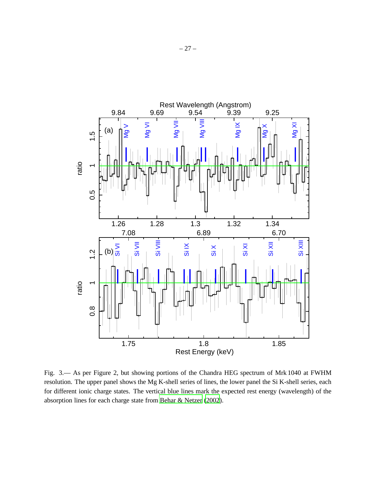

<span id="page-26-0"></span>Fig. 3.— As per Figure 2, but showing portions of the Chandra HEG spectrum of Mrk 1040 at FWHM resolution. The upper panel shows the Mg K-shell series of lines, the lower panel the Si K-shell series, each for different ionic charge states. The vertical blue lines mark the expected rest energy (wavelength) of the absorption lines for each charge state from [Behar & Netzer \(2002](#page-19-4)).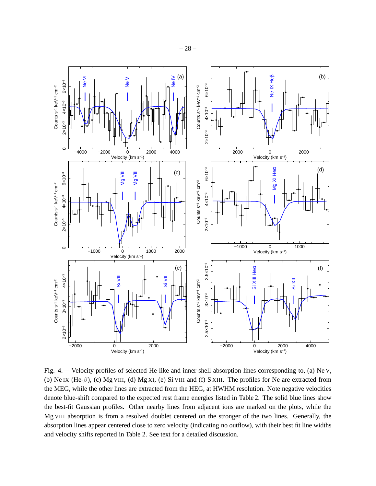

Fig. 4.— Velocity profiles of selected He-like and inner-shell absorption lines corresponding to, (a) Ne V, (b) Ne IX (He-β), (c) Mg VIII, (d) Mg XI, (e) Si VIII and (f) S XIII. The profiles for Ne are extracted from the MEG, while the other lines are extracted from the HEG, at HWHM resolution. Note negative velocities denote blue-shift compared to the expected rest frame energies listed in Table 2. The solid blue lines show the best-fit Gaussian profiles. Other nearby lines from adjacent ions are marked on the plots, while the Mg VIII absorption is from a resolved doublet centered on the stronger of the two lines. Generally, the absorption lines appear centered close to zero velocity (indicating no outflow), with their best fit line widths and velocity shifts reported in Table 2. See text for a detailed discussion.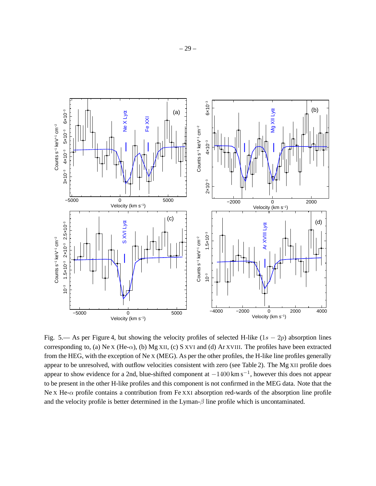

Fig. 5.— As per Figure 4, but showing the velocity profiles of selected H-like  $(1s - 2p)$  absorption lines corresponding to, (a) Ne X (He- $\alpha$ ), (b) Mg XII, (c) S XVI and (d) Ar XVIII. The profiles have been extracted from the HEG, with the exception of Ne X (MEG). As per the other profiles, the H-like line profiles generally appear to be unresolved, with outflow velocities consistent with zero (see Table 2). The Mg XII profile does appear to show evidence for a 2nd, blue-shifted component at  $-1400 \text{ km s}^{-1}$ , however this does not appear to be present in the other H-like profiles and this component is not confirmed in the MEG data. Note that the Ne X He- $\alpha$  profile contains a contribution from Fe XXI absorption red-wards of the absorption line profile and the velocity profile is better determined in the Lyman- $\beta$  line profile which is uncontaminated.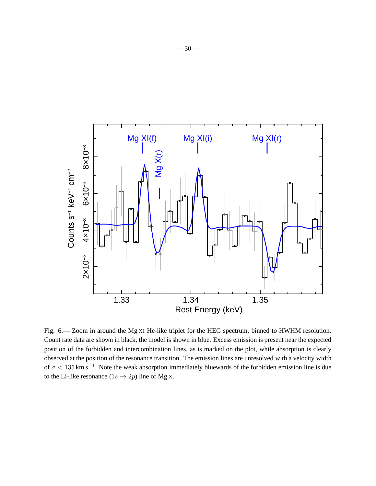

Fig. 6.— Zoom in around the Mg XI He-like triplet for the HEG spectrum, binned to HWHM resolution. Count rate data are shown in black, the model is shown in blue. Excess emission is present near the expected position of the forbidden and intercombination lines, as is marked on the plot, while absorption is clearly observed at the position of the resonance transition. The emission lines are unresolved with a velocity width of  $\sigma$  < 135 km s<sup>-1</sup>. Note the weak absorption immediately bluewards of the forbidden emission line is due to the Li-like resonance  $(1s \rightarrow 2p)$  line of Mg X.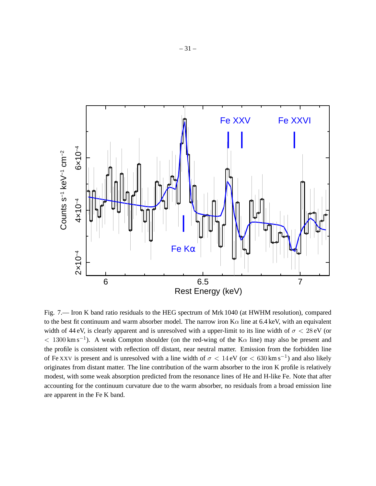

Fig. 7.— Iron K band ratio residuals to the HEG spectrum of Mrk 1040 (at HWHM resolution), compared to the best fit continuum and warm absorber model. The narrow iron  $K\alpha$  line at 6.4 keV, with an equivalent width of 44 eV, is clearly apparent and is unresolved with a upper-limit to its line width of  $\sigma < 28 \text{ eV}$  (or  $< 1300 \text{ km s}^{-1}$ ). A weak Compton shoulder (on the red-wing of the K $\alpha$  line) may also be present and the profile is consistent with reflection off distant, near neutral matter. Emission from the forbidden line of Fe XXV is present and is unresolved with a line width of  $\sigma < 14 \text{ eV}$  (or  $< 630 \text{ km s}^{-1}$ ) and also likely originates from distant matter. The line contribution of the warm absorber to the iron K profile is relatively modest, with some weak absorption predicted from the resonance lines of He and H-like Fe. Note that after accounting for the continuum curvature due to the warm absorber, no residuals from a broad emission line are apparent in the Fe K band.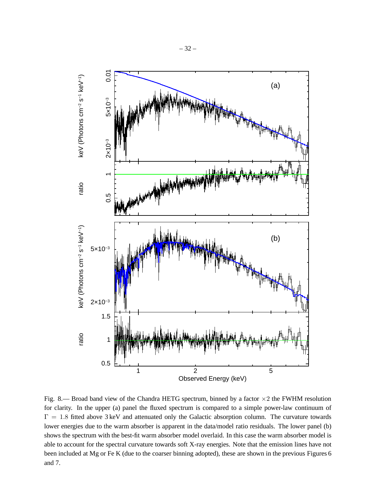

Fig. 8.— Broad band view of the Chandra HETG spectrum, binned by a factor  $\times$ 2 the FWHM resolution for clarity. In the upper (a) panel the fluxed spectrum is compared to a simple power-law continuum of  $\Gamma = 1.8$  fitted above 3 keV and attenuated only the Galactic absorption column. The curvature towards lower energies due to the warm absorber is apparent in the data/model ratio residuals. The lower panel (b) shows the spectrum with the best-fit warm absorber model overlaid. In this case the warm absorber model is able to account for the spectral curvature towards soft X-ray energies. Note that the emission lines have not been included at Mg or Fe K (due to the coarser binning adopted), these are shown in the previous Figures 6 and 7.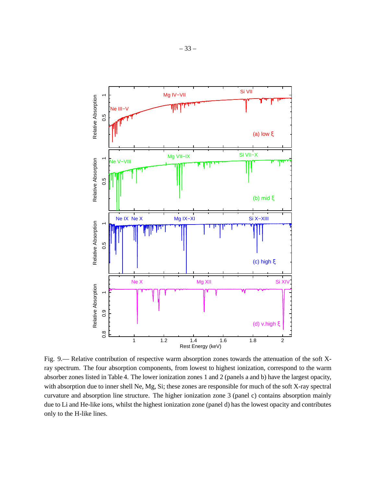

Fig. 9.— Relative contribution of respective warm absorption zones towards the attenuation of the soft Xray spectrum. The four absorption components, from lowest to highest ionization, correspond to the warm absorber zones listed in Table 4. The lower ionization zones 1 and 2 (panels a and b) have the largest opacity, with absorption due to inner shell Ne, Mg, Si; these zones are responsible for much of the soft X-ray spectral curvature and absorption line structure. The higher ionization zone 3 (panel c) contains absorption mainly due to Li and He-like ions, whilst the highest ionization zone (panel d) has the lowest opacity and contributes only to the H-like lines.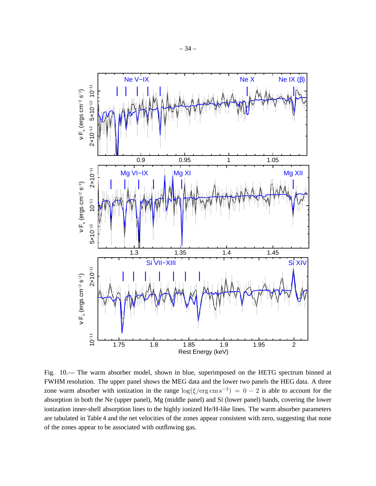

Fig. 10.— The warm absorber model, shown in blue, superimposed on the HETG spectrum binned at FWHM resolution. The upper panel shows the MEG data and the lower two panels the HEG data. A three zone warm absorber with ionization in the range  $\log(\xi/\text{erg cm s}^{-1}) = 0 - 2$  is able to account for the absorption in both the Ne (upper panel), Mg (middle panel) and Si (lower panel) bands, covering the lower ionization inner-shell absorption lines to the highly ionized He/H-like lines. The warm absorber parameters are tabulated in Table 4 and the net velocities of the zones appear consistent with zero, suggesting that none of the zones appear to be associated with outflowing gas.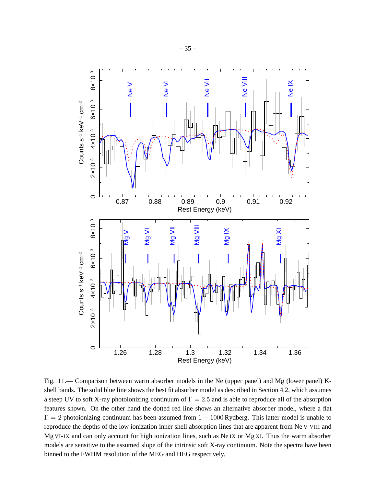

Fig. 11.— Comparison between warm absorber models in the Ne (upper panel) and Mg (lower panel) Kshell bands. The solid blue line shows the best fit absorber model as described in Section 4.2, which assumes a steep UV to soft X-ray photoionizing continuum of  $\Gamma = 2.5$  and is able to reproduce all of the absorption features shown. On the other hand the dotted red line shows an alternative absorber model, where a flat  $\Gamma = 2$  photoionizing continuum has been assumed from  $1 - 1000$  Rydberg. This latter model is unable to reproduce the depths of the low ionization inner shell absorption lines that are apparent from Ne V-VIII and Mg VI-IX and can only account for high ionization lines, such as Ne IX or Mg XI. Thus the warm absorber models are sensitive to the assumed slope of the intrinsic soft X-ray continuum. Note the spectra have been binned to the FWHM resolution of the MEG and HEG respectively.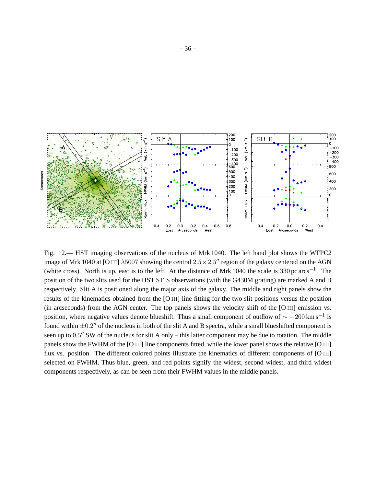

Fig. 12.— HST imaging observations of the nucleus of Mrk 1040. The left hand plot shows the WFPC2 image of Mrk 1040 at [O III]  $\lambda$ 5007 showing the central  $2.5 \times 2.5$ " region of the galaxy centered on the AGN (white cross). North is up, east is to the left. At the distance of Mrk 1040 the scale is 330 pc arcs<sup>-1</sup>. The position of the two slits used for the HST STIS observations (with the G430M grating) are marked A and B respectively. Slit A is positioned along the major axis of the galaxy. The middle and right panels show the results of the kinematics obtained from the [O III] line fitting for the two slit positions versus the position (in arcseconds) from the AGN center. The top panels shows the velocity shift of the [O III] emission vs. position, where negative values denote blueshift. Thus a small component of outflow of  $\sim -200 \,\mathrm{km \, s^{-1}}$  is found within  $\pm 0.2$ <sup>"</sup> of the nucleus in both of the slit A and B spectra, while a small blueshifted component is seen up to 0.5′′ SW of the nucleus for slit A only – this latter component may be due to rotation. The middle panels show the FWHM of the [O III] line components fitted, while the lower panel shows the relative [O III] flux vs. position. The different colored points illustrate the kinematics of different components of [O III] selected on FWHM. Thus blue, green, and red points signify the widest, second widest, and third widest components respectively, as can be seen from their FWHM values in the middle panels.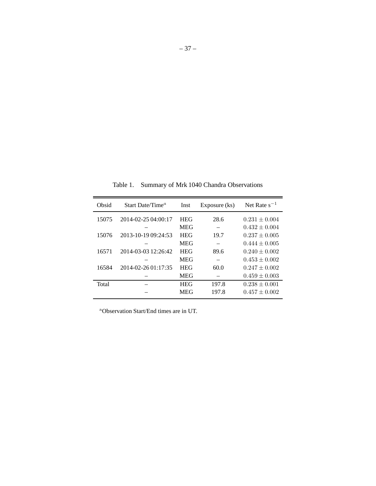| Obsid | Start Date/Time <sup><math>a</math></sup> | Inst       | Exposure (ks) | Net Rate $s^{-1}$ |
|-------|-------------------------------------------|------------|---------------|-------------------|
| 15075 | 2014-02-25 04:00:17                       | <b>HEG</b> | 28.6          | $0.231 \pm 0.004$ |
|       |                                           | <b>MEG</b> |               | $0.432 \pm 0.004$ |
| 15076 | 2013-10-19 09:24:53                       | <b>HEG</b> | 19.7          | $0.237 \pm 0.005$ |
|       |                                           | <b>MEG</b> |               | $0.444 \pm 0.005$ |
| 16571 | 2014-03-03 12:26:42                       | <b>HEG</b> | 89.6          | $0.240 \pm 0.002$ |
|       |                                           | <b>MEG</b> |               | $0.453 \pm 0.002$ |
| 16584 | $2014 - 02 - 2601 \cdot 17 \cdot 35$      | <b>HEG</b> | 60.0          | $0.247 \pm 0.002$ |
|       |                                           | <b>MEG</b> |               | $0.459 \pm 0.003$ |
| Total |                                           | <b>HEG</b> | 197.8         | $0.238 \pm 0.001$ |
|       |                                           | <b>MEG</b> | 197.8         | $0.457 \pm 0.002$ |
|       |                                           |            |               |                   |

Table 1. Summary of Mrk 1040 Chandra Observations

<sup>a</sup>Observation Start/End times are in UT.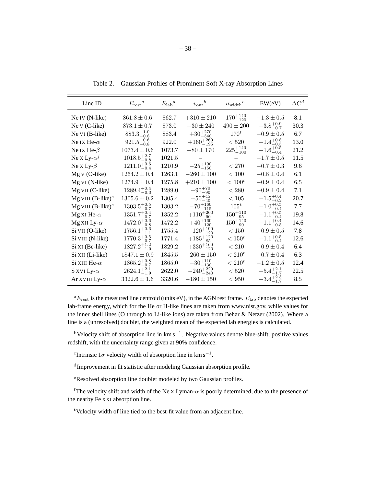| Line ID                     | $E_{\rm rest}^{\phantom{\dag}}{}^a$ | $E_{\rm lab}{}^a$ | $v_{\text{out}}^{\quad b}$ | $\sigma_\text{width}{}^c$    | EW(eV)               | $\Delta C^d$ |
|-----------------------------|-------------------------------------|-------------------|----------------------------|------------------------------|----------------------|--------------|
| Ne IV (N-like)              | $861.8 \pm 0.6$                     | 862.7             | $+310 \pm 210$             | $170^{+140}_{-120}$          | $-1.3 \pm 0.5$       | 8.1          |
| Ne $V$ (C-like)             | $873.1 \pm 0.7$                     | 873.0             | $-30 \pm 240$              | $490 \pm 200$                | $-3.8^{+0.9}_{-0.7}$ | 30.3         |
| Ne VI (B-like)              | $883.3^{+1.0}_{-0.8}$               | 883.4             | $+30^{+270}_{-340}$        | $170^t$                      | $-0.9 \pm 0.5$       | 6.7          |
| Ne IX He- $\alpha$          | $921.5^{+0.6}_{-0.8}$               | 922.0             | $+160^{+260}_{-195}$       | < 520                        | $-1.4^{+0.8}_{-0.5}$ | 13.0         |
| Ne IX He- $\beta$           | $1073.4 \pm 0.6$                    | 1073.7            | $+80 \pm 170$              | $225\substack{+140 \\ -100}$ | $-1.6^{+0.5}_{-0.4}$ | 21.2         |
| Ne x Ly- $\alpha^f$         | $1018.5^{+2.7}_{-0.8}$              | 1021.5            |                            | $\qquad \qquad -$            | $-1.7 \pm 0.5$       | 11.5         |
| Ne x Ly- $\beta$            | $1211.0^{+0.6}_{-0.4}$              | 1210.9            | $-25^{+100}_{-150}$        | < 270                        | $-0.7 \pm 0.3$       | 9.6          |
| $MgV$ (O-like)              | $1264.2 \pm 0.4$                    | 1263.1            | $-260\pm100$               | $<100\,$                     | $-0.8 \pm 0.4$       | 6.1          |
| Mg VI (N-like)              | $1274.9 \pm 0.4$                    | 1275.8            | $+210\pm100$               | $< 100^t$                    | $-0.9 \pm 0.4$       | 6.5          |
| Mg VII (C-like)             | $1289.4^{+0.4}_{-0.3}$              | 1289.0            | $-90^{+70}_{-90}$          | $<280\,$                     | $-0.9 \pm 0.4$       | 7.1          |
| Mg VIII $(B\text{-like})^e$ | $1305.6 \pm 0.2$                    | 1305.4            | $-50^{+45}_{-40}$          | $<105\,$                     | $-1.5^{+0.4}_{-0.2}$ | 20.7         |
| Mg VIII $(B\text{-like})^e$ | $1303.5^{+0.5}_{-0.7}$              | 1303.2            | $-70^{+160}_{-115}$        | $105^t$                      | $-1.0^{+0.5}_{-0.4}$ | 7.7          |
| Mg XI He- $\alpha$          | $1351.7^{+0.4}_{-0.7}$              | 1352.2            | $+110^{+200}_{-90}$        | $150^{+110}_{-95}$           | $-1.1^{+0.5}_{-0.4}$ | 19.8         |
| Mg XII Ly- $\alpha$         | $1472.0^{+0.6}_{-0.8}$              | 1472.2            | $+40^{+160}_{-120}$        | $150^{+140}_{-90}$           | $-1.1^{+0.4}_{-0.5}$ | 14.6         |
| Si VII (O-like)             | $1756.1^{+0.6}_{-1.1}$              | 1755.4            | $-120^{+190}_{-120}$       | < 150                        | $-0.9 \pm 0.5$       | 7.8          |
| Si VIII (N-like)            | $1770.3^{+0.5}_{-0.7}$              | 1771.4            | $+185^{+120}_{-85}$        | $< 150^t$                    | $-1.1^{+0.5}_{-0.4}$ | 12.6         |
| Si XI (Be-like)             | $1827.2^{+1.2}_{-1.0}$              | 1829.2            | $+330^{+160}_{-120}$       | $< 210\,$                    | $-0.9 \pm 0.4$       | 6.4          |
| Si XII (Li-like)            | $1847.1 \pm 0.9$                    | 1845.5            | $-260 \pm 150$             | $< 210^t$                    | $-0.7 \pm 0.4$       | 6.3          |
| Si XIII He- $\alpha$        | $1865.2^{+0.8}_{-0.7}$              | 1865.0            | $-30^{+110}_{-130}$        | $< 210^t$                    | $-1.2 \pm 0.5$       | 12.4         |
| S XVI Ly- $\alpha$          | $2624.1^{+2.1}_{-1.9}$              | 2622.0            | $-240^{+220}_{-240}$       | $<520\,$                     | $-5.4^{+2.1}_{-1.7}$ | 22.5         |
| Ar XVIII Ly- $\alpha$       | $3322.6 \pm 1.6$                    | 3320.6            | $-180\pm150$               | < 950                        | $-3.4^{+2.3}_{-1.7}$ | 8.5          |

Table 2. Gaussian Profiles of Prominent Soft X-ray Absorption Lines

 ${}^aE_{\text{rest}}$  is the measured line centroid (units eV), in the AGN rest frame.  $E_{\text{lab}}$  denotes the expected lab-frame energy, which for the He or H-like lines are taken from www.nist.gov, while values for the inner shell lines (O through to Li-like ions) are taken from Behar & Netzer (2002). Where a line is a (unresolved) doublet, the weighted mean of the expected lab energies is calculated.

<sup>b</sup>Velocity shift of absorption line in km s<sup>-1</sup>. Negative values denote blue-shift, positive values redshift, with the uncertainty range given at 90% confidence.

<sup>c</sup>Intrinsic 1 $\sigma$  velocity width of absorption line in km s<sup>-1</sup>.

<sup>d</sup>Improvement in fit statistic after modeling Gaussian absorption profile.

<sup>e</sup>Resolved absorption line doublet modeled by two Gaussian profiles.

<sup>f</sup>The velocity shift and width of the Ne X Lyman- $\alpha$  is poorly determined, due to the presence of the nearby Fe XXI absorption line.

<sup>t</sup>Velocity width of line tied to the best-fit value from an adjacent line.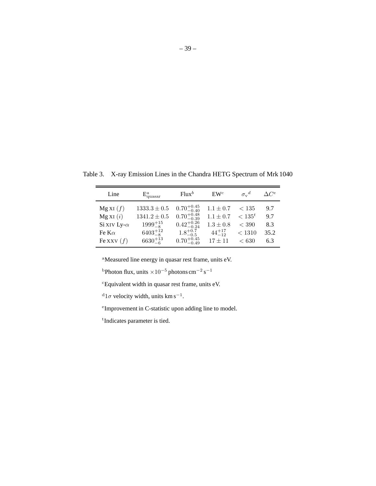| Line                | $E_{\text{quasar}}^a$ | $Flux^b$               | $\mathbf{E}\mathbf{W}^c$ | $\sigma_{v}{}^d$ | $\setminus C^e$ |
|---------------------|-----------------------|------------------------|--------------------------|------------------|-----------------|
| MgXI(f)             | $1333.3\pm0.5$        | $0.70^{+0.45}_{-0.40}$ | $1.1 \pm 0.7$            | < 135            | 9.7             |
| MgXI(i)             | $1341.2\pm0.5$        | $0.70^{+0.48}_{-0.39}$ | $1.1 \pm 0.7$            | $< 135^t$        | 9.7             |
| Si XIV Ly- $\alpha$ | $1999^{+15}_{-8}$     | $0.42^{+0.26}_{-0.24}$ | $1.3 \pm 0.8$            | $<$ 390          | 8.3             |
| Fe K $\alpha$       | $6403^{+12}_{-8}$     | $1.8^{+0.7}_{-0.5}$    | $44^{+17}_{-12}$         | < 1310           | 35.2            |
| Fe XXV $(f)$        | $6630^{+13}_{-6}$     | $0.70^{+0.45}_{-0.49}$ | $17 + 11$                | ${}< 630$        | 6.3             |

Table 3. X-ray Emission Lines in the Chandra HETG Spectrum of Mrk 1040

<sup>a</sup>Measured line energy in quasar rest frame, units eV.

<sup>b</sup>Photon flux, units  $\times 10^{-5}$  photons cm<sup>-2</sup> s<sup>-1</sup>

<sup>c</sup>Equivalent width in quasar rest frame, units eV.

 $d_{1\sigma}$  velocity width, units km s<sup>-1</sup>.

e Improvement in C-statistic upon adding line to model.

t Indicates parameter is tied.